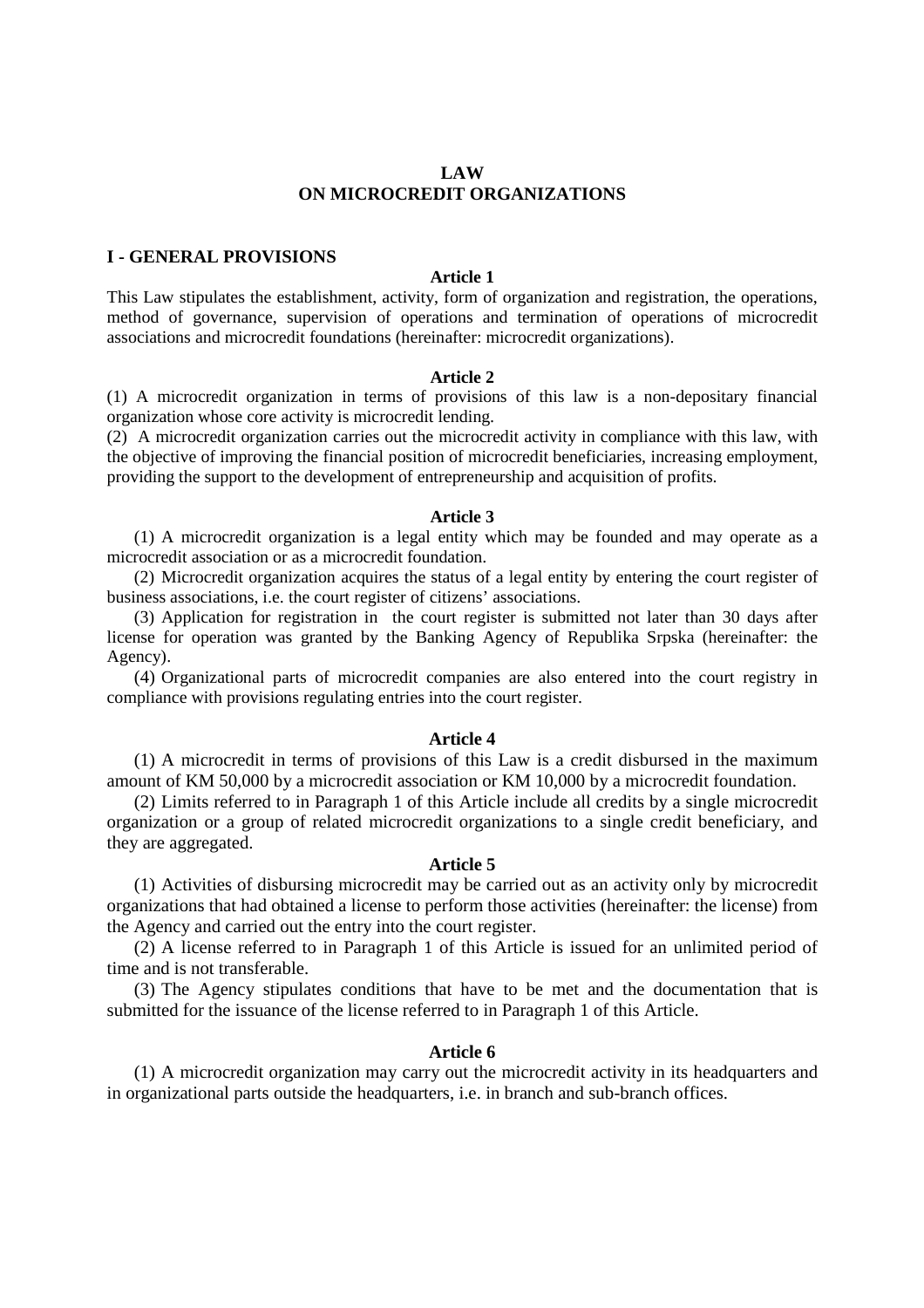### **LAW ON MICROCREDIT ORGANIZATIONS**

### **I - GENERAL PROVISIONS**

### **Article 1**

This Law stipulates the establishment, activity, form of organization and registration, the operations, method of governance, supervision of operations and termination of operations of microcredit associations and microcredit foundations (hereinafter: microcredit organizations).

#### **Article 2**

(1) A microcredit organization in terms of provisions of this law is a non-depositary financial organization whose core activity is microcredit lending.

(2) A microcredit organization carries out the microcredit activity in compliance with this law, with the objective of improving the financial position of microcredit beneficiaries, increasing employment, providing the support to the development of entrepreneurship and acquisition of profits.

#### **Article 3**

(1) A microcredit organization is a legal entity which may be founded and may operate as a microcredit association or as a microcredit foundation.

(2) Microcredit organization acquires the status of a legal entity by entering the court register of business associations, i.e. the court register of citizens' associations.

(3) Application for registration in the court register is submitted not later than 30 days after license for operation was granted by the Banking Agency of Republika Srpska (hereinafter: the Agency).

(4) Organizational parts of microcredit companies are also entered into the court registry in compliance with provisions regulating entries into the court register.

### **Article 4**

(1) A microcredit in terms of provisions of this Law is a credit disbursed in the maximum amount of KM 50,000 by a microcredit association or KM 10,000 by a microcredit foundation.

(2) Limits referred to in Paragraph 1 of this Article include all credits by a single microcredit organization or a group of related microcredit organizations to a single credit beneficiary, and they are aggregated.

### **Article 5**

(1) Activities of disbursing microcredit may be carried out as an activity only by microcredit organizations that had obtained a license to perform those activities (hereinafter: the license) from the Agency and carried out the entry into the court register.

(2) A license referred to in Paragraph 1 of this Article is issued for an unlimited period of time and is not transferable.

(3) The Agency stipulates conditions that have to be met and the documentation that is submitted for the issuance of the license referred to in Paragraph 1 of this Article.

## **Article 6**

(1) A microcredit organization may carry out the microcredit activity in its headquarters and in organizational parts outside the headquarters, i.e. in branch and sub-branch offices.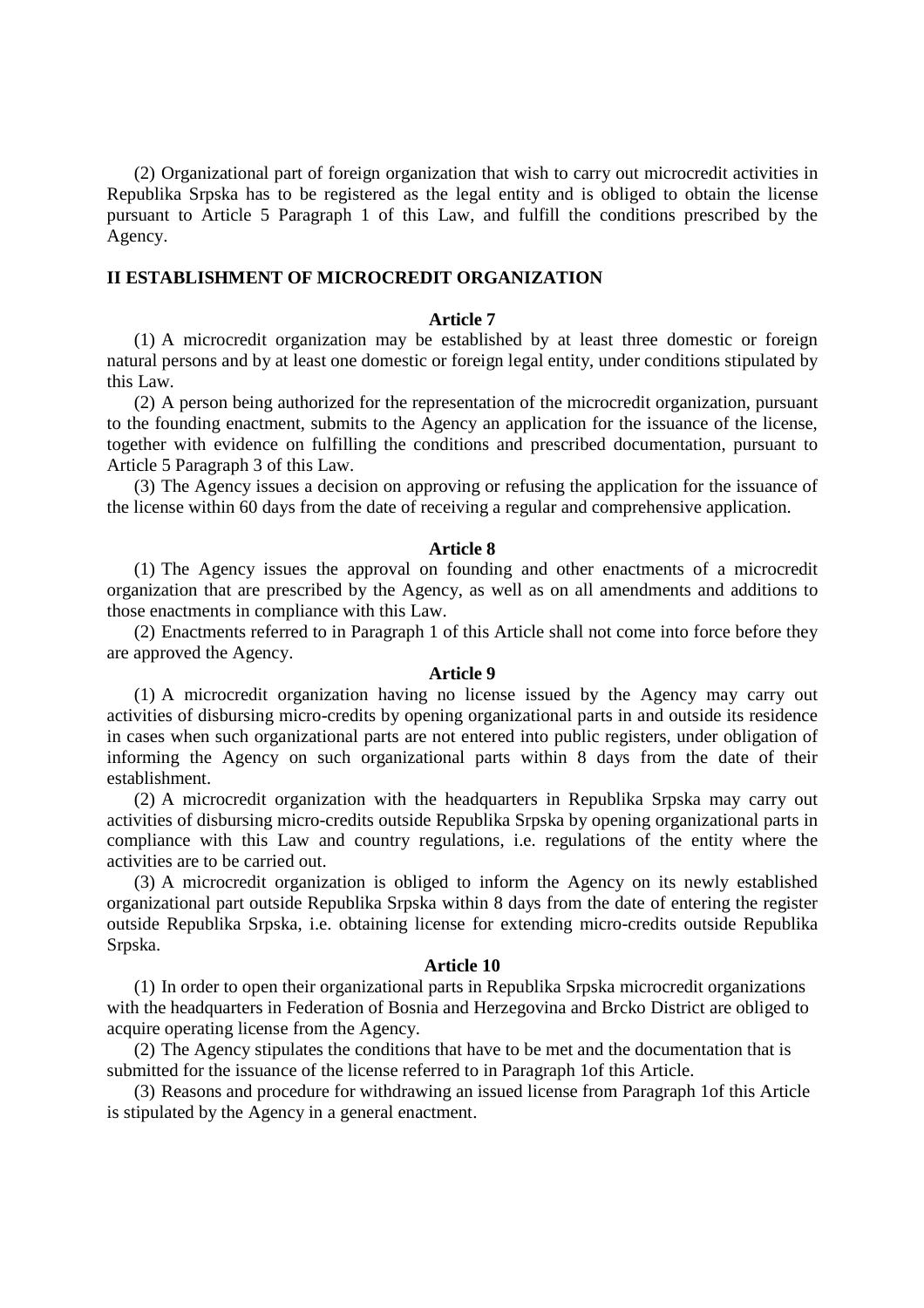(2) Organizational part of foreign organization that wish to carry out microcredit activities in Republika Srpska has to be registered as the legal entity and is obliged to obtain the license pursuant to Article 5 Paragraph 1 of this Law, and fulfill the conditions prescribed by the Agency.

### **II ESTABLISHMENT OF MICROCREDIT ORGANIZATION**

### **Article 7**

(1) A microcredit organization may be established by at least three domestic or foreign natural persons and by at least one domestic or foreign legal entity, under conditions stipulated by this Law.

(2) A person being authorized for the representation of the microcredit organization, pursuant to the founding enactment, submits to the Agency an application for the issuance of the license, together with evidence on fulfilling the conditions and prescribed documentation, pursuant to Article 5 Paragraph 3 of this Law.

(3) The Agency issues a decision on approving or refusing the application for the issuance of the license within 60 days from the date of receiving a regular and comprehensive application.

#### **Article 8**

(1) The Agency issues the approval on founding and other enactments of a microcredit organization that are prescribed by the Agency, as well as on all amendments and additions to those enactments in compliance with this Law.

(2) Enactments referred to in Paragraph 1 of this Article shall not come into force before they are approved the Agency.

#### **Article 9**

(1) A microcredit organization having no license issued by the Agency may carry out activities of disbursing micro-credits by opening organizational parts in and outside its residence in cases when such organizational parts are not entered into public registers, under obligation of informing the Agency on such organizational parts within 8 days from the date of their establishment.

(2) A microcredit organization with the headquarters in Republika Srpska may carry out activities of disbursing micro-credits outside Republika Srpska by opening organizational parts in compliance with this Law and country regulations, i.e. regulations of the entity where the activities are to be carried out.

(3) A microcredit organization is obliged to inform the Agency on its newly established organizational part outside Republika Srpska within 8 days from the date of entering the register outside Republika Srpska, i.e. obtaining license for extending micro-credits outside Republika Srpska.

#### **Article 10**

(1) In order to open their organizational parts in Republika Srpska microcredit organizations with the headquarters in Federation of Bosnia and Herzegovina and Brcko District are obliged to acquire operating license from the Agency.

(2) The Agency stipulates the conditions that have to be met and the documentation that is submitted for the issuance of the license referred to in Paragraph 1of this Article.

(3) Reasons and procedure for withdrawing an issued license from Paragraph 1of this Article is stipulated by the Agency in a general enactment.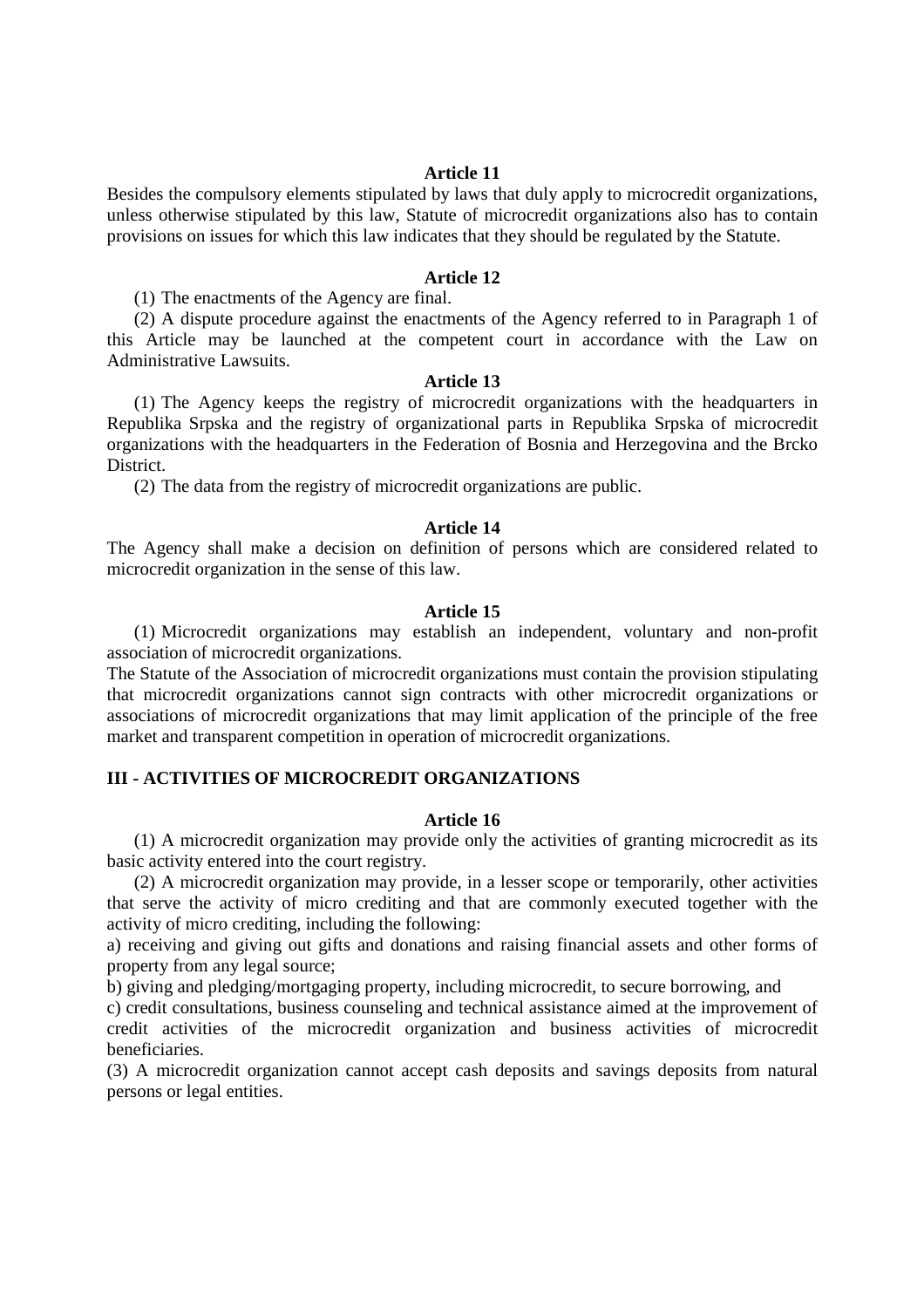Besides the compulsory elements stipulated by laws that duly apply to microcredit organizations, unless otherwise stipulated by this law, Statute of microcredit organizations also has to contain provisions on issues for which this law indicates that they should be regulated by the Statute.

### **Article 12**

(1) The enactments of the Agency are final.

(2) A dispute procedure against the enactments of the Agency referred to in Paragraph 1 of this Article may be launched at the competent court in accordance with the Law on Administrative Lawsuits.

### **Article 13**

(1) The Agency keeps the registry of microcredit organizations with the headquarters in Republika Srpska and the registry of organizational parts in Republika Srpska of microcredit organizations with the headquarters in the Federation of Bosnia and Herzegovina and the Brcko District.

(2) The data from the registry of microcredit organizations are public.

### **Article 14**

The Agency shall make a decision on definition of persons which are considered related to microcredit organization in the sense of this law.

## **Article 15**

(1) Microcredit organizations may establish an independent, voluntary and non-profit association of microcredit organizations.

The Statute of the Association of microcredit organizations must contain the provision stipulating that microcredit organizations cannot sign contracts with other microcredit organizations or associations of microcredit organizations that may limit application of the principle of the free market and transparent competition in operation of microcredit organizations.

## **III - ACTIVITIES OF MICROCREDIT ORGANIZATIONS**

## **Article 16**

(1) A microcredit organization may provide only the activities of granting microcredit as its basic activity entered into the court registry.

(2) A microcredit organization may provide, in a lesser scope or temporarily, other activities that serve the activity of micro crediting and that are commonly executed together with the activity of micro crediting, including the following:

a) receiving and giving out gifts and donations and raising financial assets and other forms of property from any legal source;

b) giving and pledging/mortgaging property, including microcredit, to secure borrowing, and

c) credit consultations, business counseling and technical assistance aimed at the improvement of credit activities of the microcredit organization and business activities of microcredit beneficiaries.

(3) A microcredit organization cannot accept cash deposits and savings deposits from natural persons or legal entities.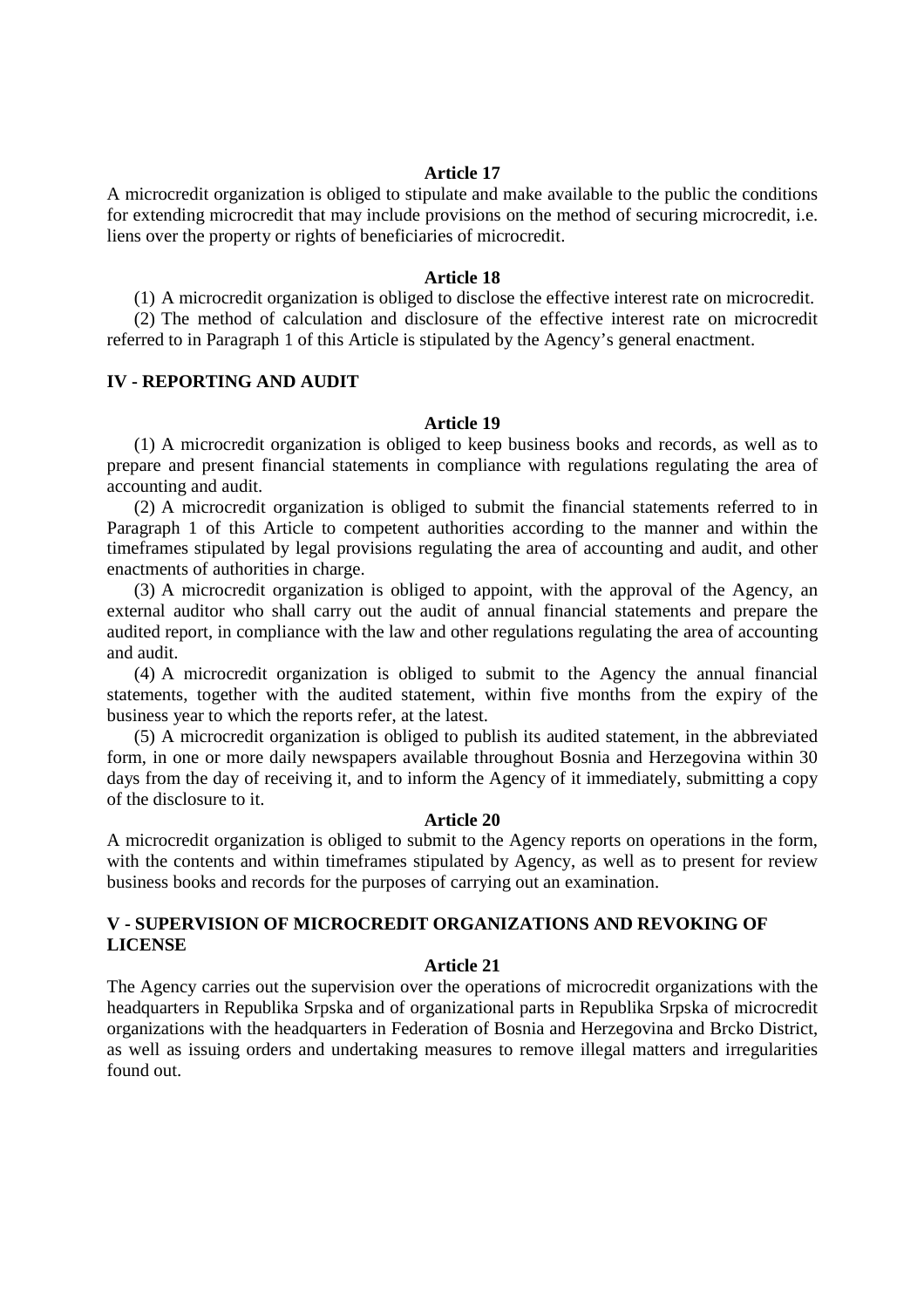A microcredit organization is obliged to stipulate and make available to the public the conditions for extending microcredit that may include provisions on the method of securing microcredit, i.e. liens over the property or rights of beneficiaries of microcredit.

#### **Article 18**

(1) A microcredit organization is obliged to disclose the effective interest rate on microcredit.

(2) The method of calculation and disclosure of the effective interest rate on microcredit referred to in Paragraph 1 of this Article is stipulated by the Agency's general enactment.

## **IV - REPORTING AND AUDIT**

### **Article 19**

(1) A microcredit organization is obliged to keep business books and records, as well as to prepare and present financial statements in compliance with regulations regulating the area of accounting and audit.

(2) A microcredit organization is obliged to submit the financial statements referred to in Paragraph 1 of this Article to competent authorities according to the manner and within the timeframes stipulated by legal provisions regulating the area of accounting and audit, and other enactments of authorities in charge.

(3) A microcredit organization is obliged to appoint, with the approval of the Agency, an external auditor who shall carry out the audit of annual financial statements and prepare the audited report, in compliance with the law and other regulations regulating the area of accounting and audit.

(4) A microcredit organization is obliged to submit to the Agency the annual financial statements, together with the audited statement, within five months from the expiry of the business year to which the reports refer, at the latest.

(5) A microcredit organization is obliged to publish its audited statement, in the abbreviated form, in one or more daily newspapers available throughout Bosnia and Herzegovina within 30 days from the day of receiving it, and to inform the Agency of it immediately, submitting a copy of the disclosure to it.

### **Article 20**

A microcredit organization is obliged to submit to the Agency reports on operations in the form, with the contents and within timeframes stipulated by Agency, as well as to present for review business books and records for the purposes of carrying out an examination.

## **V - SUPERVISION OF MICROCREDIT ORGANIZATIONS AND REVOKING OF LICENSE**

## **Article 21**

The Agency carries out the supervision over the operations of microcredit organizations with the headquarters in Republika Srpska and of organizational parts in Republika Srpska of microcredit organizations with the headquarters in Federation of Bosnia and Herzegovina and Brcko District, as well as issuing orders and undertaking measures to remove illegal matters and irregularities found out.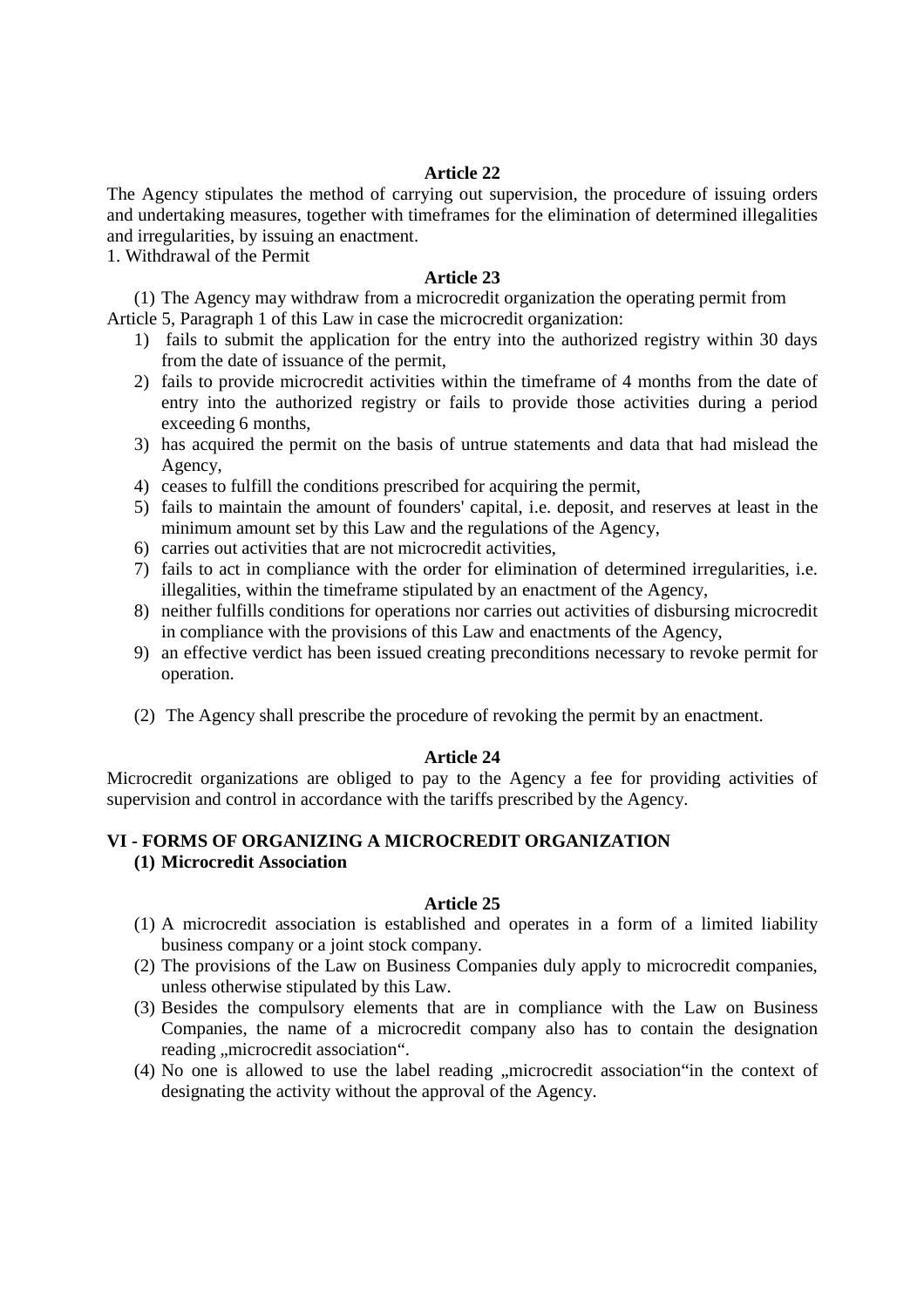The Agency stipulates the method of carrying out supervision, the procedure of issuing orders and undertaking measures, together with timeframes for the elimination of determined illegalities and irregularities, by issuing an enactment.

1. Withdrawal of the Permit

### **Article 23**

(1) The Agency may withdraw from a microcredit organization the operating permit from Article 5, Paragraph 1 of this Law in case the microcredit organization:

- 1) fails to submit the application for the entry into the authorized registry within 30 days from the date of issuance of the permit,
- 2) fails to provide microcredit activities within the timeframe of 4 months from the date of entry into the authorized registry or fails to provide those activities during a period exceeding 6 months,
- 3) has acquired the permit on the basis of untrue statements and data that had mislead the Agency,
- 4) ceases to fulfill the conditions prescribed for acquiring the permit,
- 5) fails to maintain the amount of founders' capital, i.e. deposit, and reserves at least in the minimum amount set by this Law and the regulations of the Agency,
- 6) carries out activities that are not microcredit activities,
- 7) fails to act in compliance with the order for elimination of determined irregularities, i.e. illegalities, within the timeframe stipulated by an enactment of the Agency,
- 8) neither fulfills conditions for operations nor carries out activities of disbursing microcredit in compliance with the provisions of this Law and enactments of the Agency,
- 9) an effective verdict has been issued creating preconditions necessary to revoke permit for operation.
- (2) The Agency shall prescribe the procedure of revoking the permit by an enactment.

## **Article 24**

Microcredit organizations are obliged to pay to the Agency a fee for providing activities of supervision and control in accordance with the tariffs prescribed by the Agency.

# **VI - FORMS OF ORGANIZING A MICROCREDIT ORGANIZATION**

**(1) Microcredit Association** 

- (1) A microcredit association is established and operates in a form of a limited liability business company or a joint stock company.
- (2) The provisions of the Law on Business Companies duly apply to microcredit companies, unless otherwise stipulated by this Law.
- (3) Besides the compulsory elements that are in compliance with the Law on Business Companies, the name of a microcredit company also has to contain the designation reading "microcredit association".
- $(4)$  No one is allowed to use the label reading "microcredit association"in the context of designating the activity without the approval of the Agency.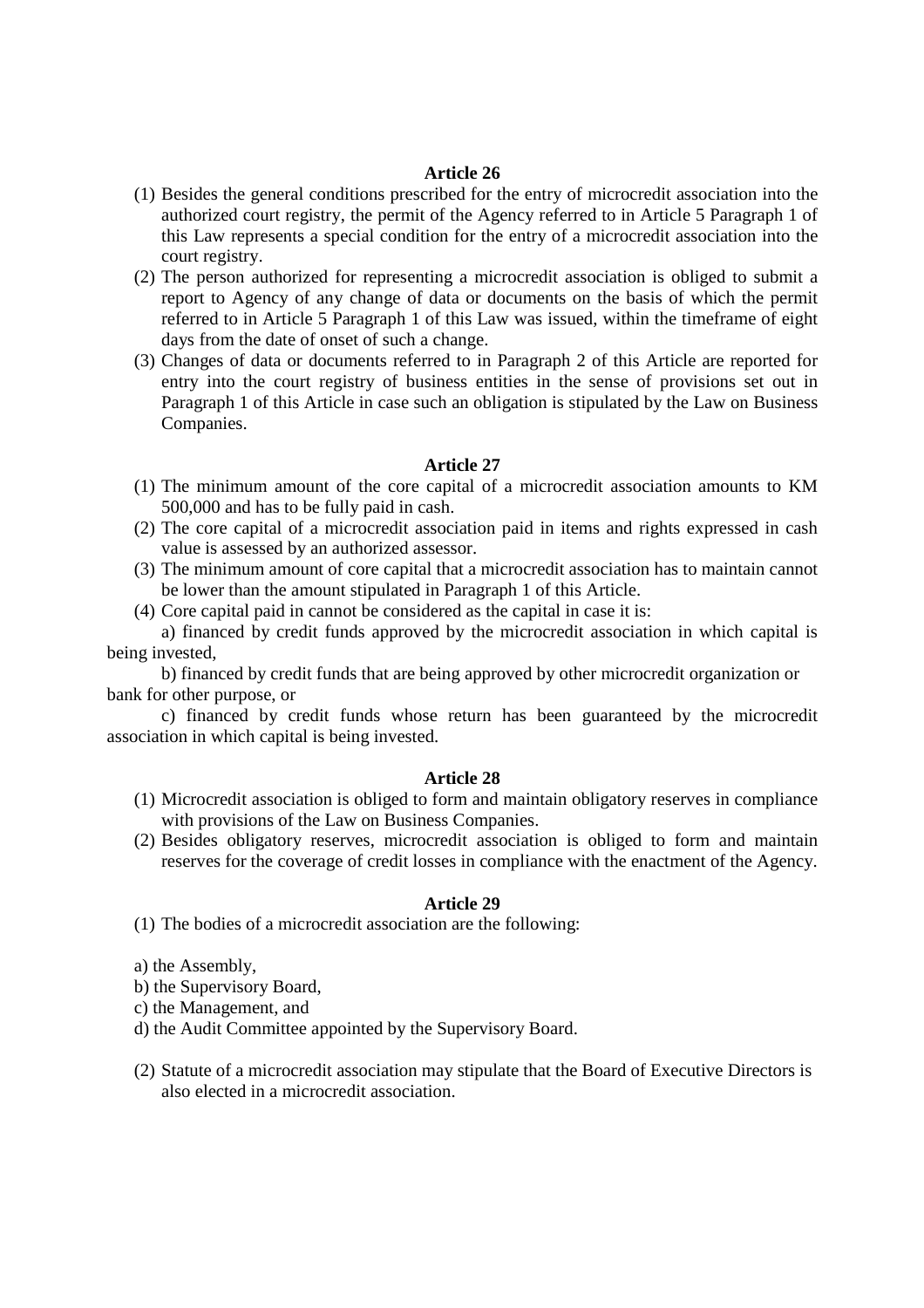- (1) Besides the general conditions prescribed for the entry of microcredit association into the authorized court registry, the permit of the Agency referred to in Article 5 Paragraph 1 of this Law represents a special condition for the entry of a microcredit association into the court registry.
- (2) The person authorized for representing a microcredit association is obliged to submit a report to Agency of any change of data or documents on the basis of which the permit referred to in Article 5 Paragraph 1 of this Law was issued, within the timeframe of eight days from the date of onset of such a change.
- (3) Changes of data or documents referred to in Paragraph 2 of this Article are reported for entry into the court registry of business entities in the sense of provisions set out in Paragraph 1 of this Article in case such an obligation is stipulated by the Law on Business Companies.

## **Article 27**

- (1) The minimum amount of the core capital of a microcredit association amounts to KM 500,000 and has to be fully paid in cash.
- (2) The core capital of a microcredit association paid in items and rights expressed in cash value is assessed by an authorized assessor.
- (3) The minimum amount of core capital that a microcredit association has to maintain cannot be lower than the amount stipulated in Paragraph 1 of this Article.
- (4) Core capital paid in cannot be considered as the capital in case it is:

a) financed by credit funds approved by the microcredit association in which capital is being invested,

b) financed by credit funds that are being approved by other microcredit organization or bank for other purpose, or

c) financed by credit funds whose return has been guaranteed by the microcredit association in which capital is being invested.

### **Article 28**

- (1) Microcredit association is obliged to form and maintain obligatory reserves in compliance with provisions of the Law on Business Companies.
- (2) Besides obligatory reserves, microcredit association is obliged to form and maintain reserves for the coverage of credit losses in compliance with the enactment of the Agency.

### **Article 29**

(1) The bodies of a microcredit association are the following:

- a) the Assembly,
- b) the Supervisory Board,
- c) the Management, and
- d) the Audit Committee appointed by the Supervisory Board.
- (2) Statute of a microcredit association may stipulate that the Board of Executive Directors is also elected in a microcredit association.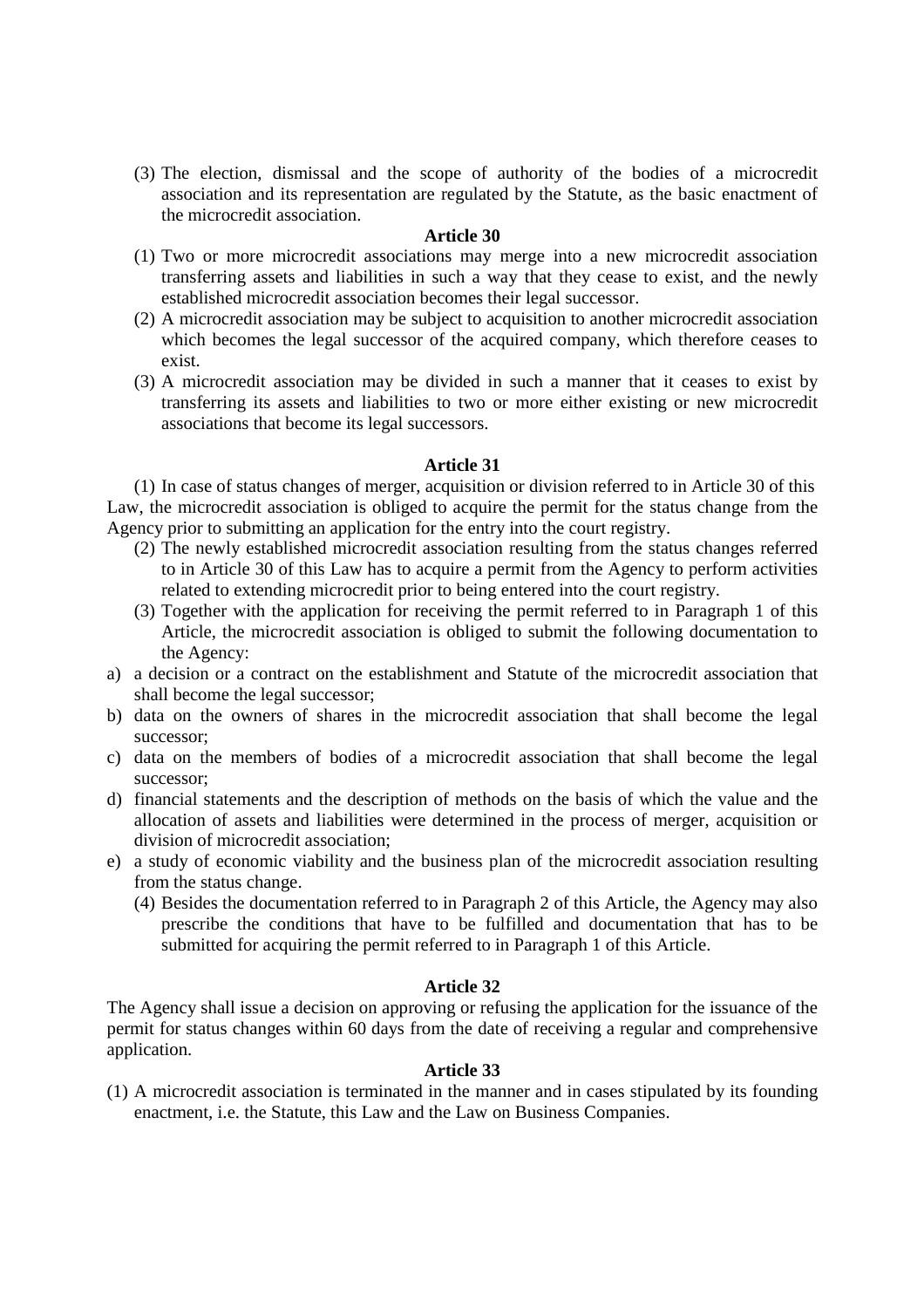(3) The election, dismissal and the scope of authority of the bodies of a microcredit association and its representation are regulated by the Statute, as the basic enactment of the microcredit association.

### **Article 30**

- (1) Two or more microcredit associations may merge into a new microcredit association transferring assets and liabilities in such a way that they cease to exist, and the newly established microcredit association becomes their legal successor.
- (2) A microcredit association may be subject to acquisition to another microcredit association which becomes the legal successor of the acquired company, which therefore ceases to exist.
- (3) A microcredit association may be divided in such a manner that it ceases to exist by transferring its assets and liabilities to two or more either existing or new microcredit associations that become its legal successors.

### **Article 31**

(1) In case of status changes of merger, acquisition or division referred to in Article 30 of this Law, the microcredit association is obliged to acquire the permit for the status change from the Agency prior to submitting an application for the entry into the court registry.

- (2) The newly established microcredit association resulting from the status changes referred to in Article 30 of this Law has to acquire a permit from the Agency to perform activities related to extending microcredit prior to being entered into the court registry.
- (3) Together with the application for receiving the permit referred to in Paragraph 1 of this Article, the microcredit association is obliged to submit the following documentation to the Agency:
- a) a decision or a contract on the establishment and Statute of the microcredit association that shall become the legal successor;
- b) data on the owners of shares in the microcredit association that shall become the legal successor;
- c) data on the members of bodies of a microcredit association that shall become the legal successor;
- d) financial statements and the description of methods on the basis of which the value and the allocation of assets and liabilities were determined in the process of merger, acquisition or division of microcredit association;
- e) a study of economic viability and the business plan of the microcredit association resulting from the status change.
	- (4) Besides the documentation referred to in Paragraph 2 of this Article, the Agency may also prescribe the conditions that have to be fulfilled and documentation that has to be submitted for acquiring the permit referred to in Paragraph 1 of this Article.

## **Article 32**

The Agency shall issue a decision on approving or refusing the application for the issuance of the permit for status changes within 60 days from the date of receiving a regular and comprehensive application.

## **Article 33**

(1) A microcredit association is terminated in the manner and in cases stipulated by its founding enactment, i.e. the Statute, this Law and the Law on Business Companies.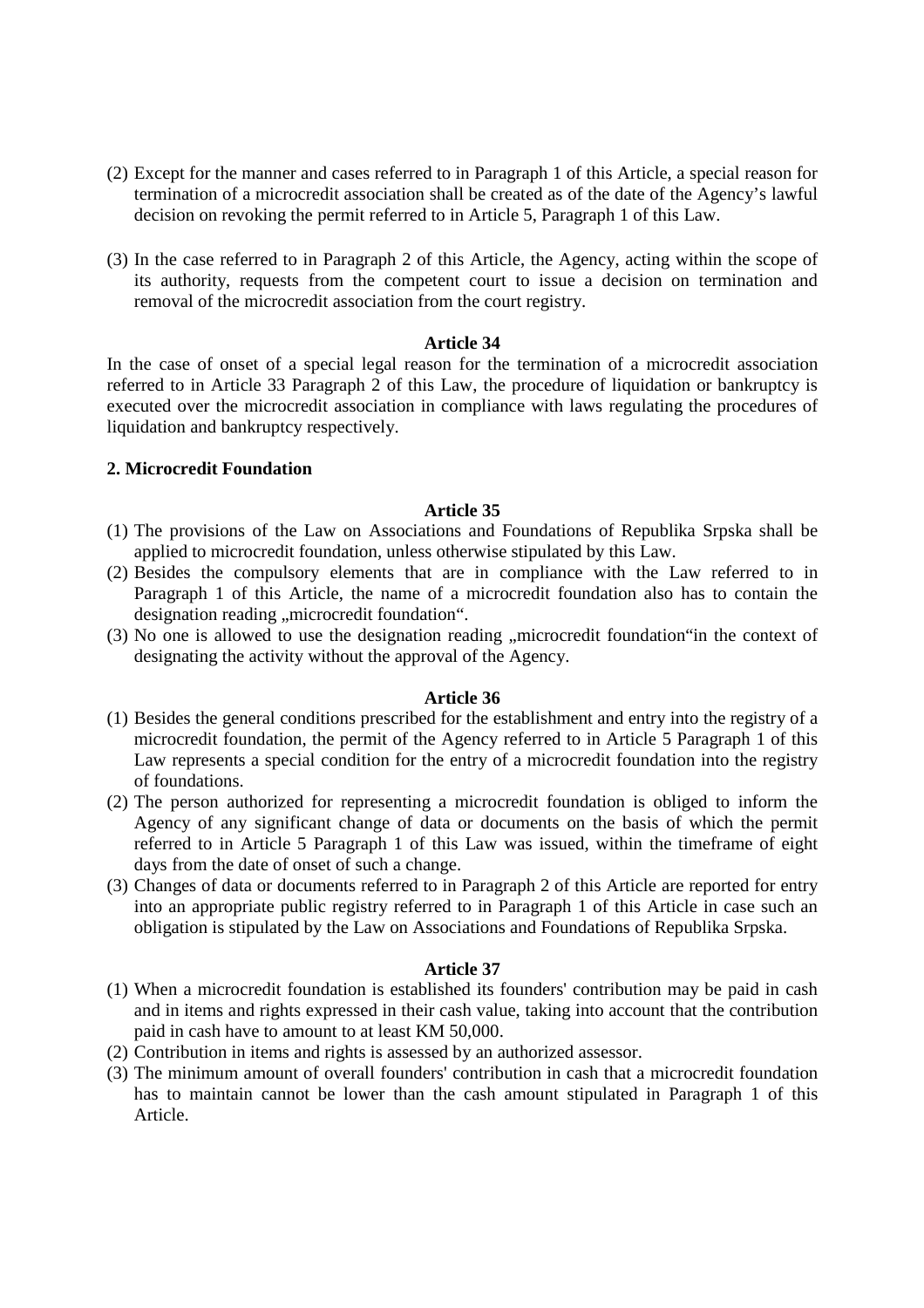- (2) Except for the manner and cases referred to in Paragraph 1 of this Article, a special reason for termination of a microcredit association shall be created as of the date of the Agency's lawful decision on revoking the permit referred to in Article 5, Paragraph 1 of this Law.
- (3) In the case referred to in Paragraph 2 of this Article, the Agency, acting within the scope of its authority, requests from the competent court to issue a decision on termination and removal of the microcredit association from the court registry.

In the case of onset of a special legal reason for the termination of a microcredit association referred to in Article 33 Paragraph 2 of this Law, the procedure of liquidation or bankruptcy is executed over the microcredit association in compliance with laws regulating the procedures of liquidation and bankruptcy respectively.

## **2. Microcredit Foundation**

## **Article 35**

- (1) The provisions of the Law on Associations and Foundations of Republika Srpska shall be applied to microcredit foundation, unless otherwise stipulated by this Law.
- (2) Besides the compulsory elements that are in compliance with the Law referred to in Paragraph 1 of this Article, the name of a microcredit foundation also has to contain the designation reading .microcredit foundation".
- $(3)$  No one is allowed to use the designation reading , microcredit foundation in the context of designating the activity without the approval of the Agency.

## **Article 36**

- (1) Besides the general conditions prescribed for the establishment and entry into the registry of a microcredit foundation, the permit of the Agency referred to in Article 5 Paragraph 1 of this Law represents a special condition for the entry of a microcredit foundation into the registry of foundations.
- (2) The person authorized for representing a microcredit foundation is obliged to inform the Agency of any significant change of data or documents on the basis of which the permit referred to in Article 5 Paragraph 1 of this Law was issued, within the timeframe of eight days from the date of onset of such a change.
- (3) Changes of data or documents referred to in Paragraph 2 of this Article are reported for entry into an appropriate public registry referred to in Paragraph 1 of this Article in case such an obligation is stipulated by the Law on Associations and Foundations of Republika Srpska.

- (1) When a microcredit foundation is established its founders' contribution may be paid in cash and in items and rights expressed in their cash value, taking into account that the contribution paid in cash have to amount to at least KM 50,000.
- (2) Contribution in items and rights is assessed by an authorized assessor.
- (3) The minimum amount of overall founders' contribution in cash that a microcredit foundation has to maintain cannot be lower than the cash amount stipulated in Paragraph 1 of this Article.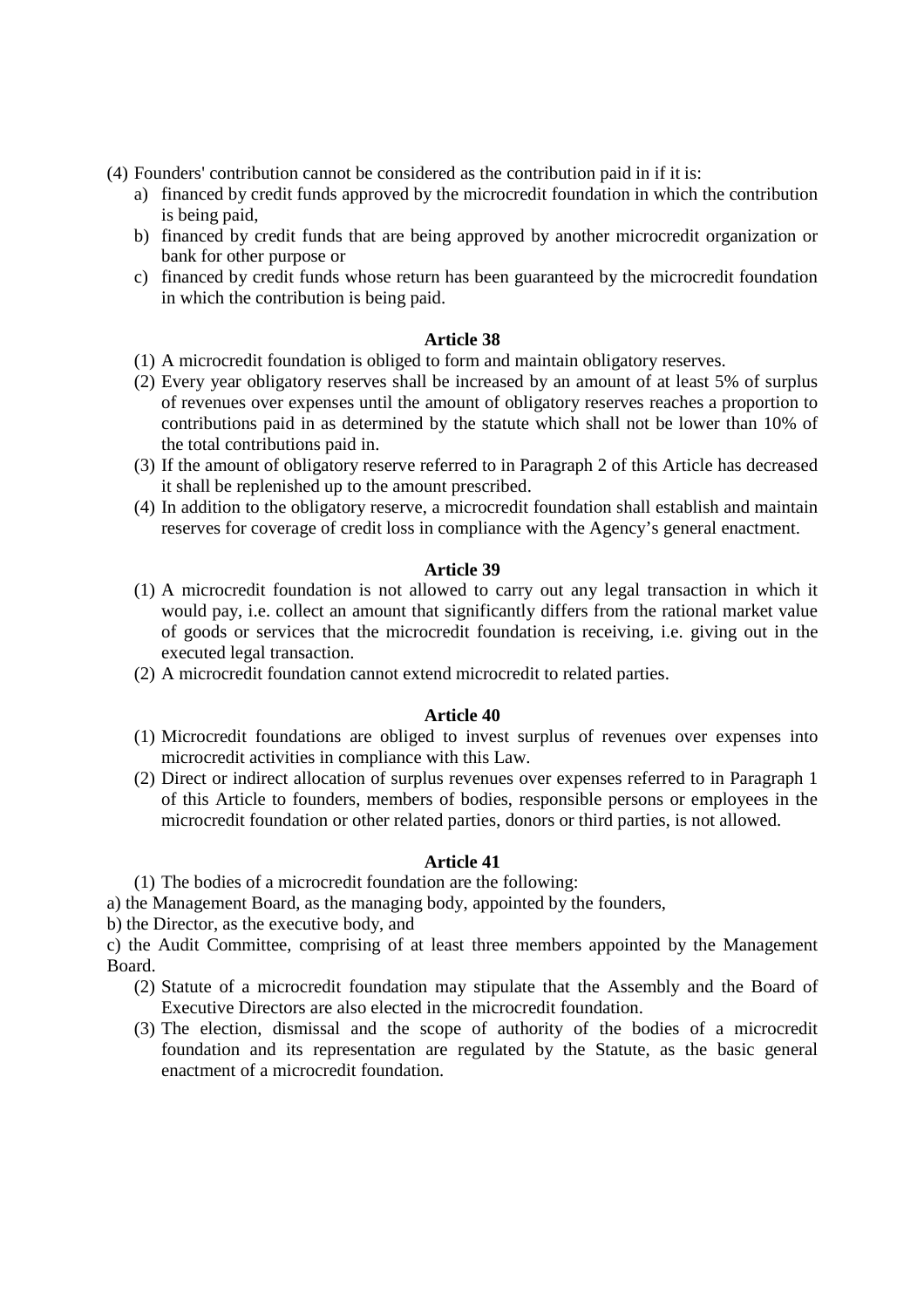- (4) Founders' contribution cannot be considered as the contribution paid in if it is:
	- a) financed by credit funds approved by the microcredit foundation in which the contribution is being paid,
	- b) financed by credit funds that are being approved by another microcredit organization or bank for other purpose or
	- c) financed by credit funds whose return has been guaranteed by the microcredit foundation in which the contribution is being paid.

- (1) A microcredit foundation is obliged to form and maintain obligatory reserves.
- (2) Every year obligatory reserves shall be increased by an amount of at least 5% of surplus of revenues over expenses until the amount of obligatory reserves reaches a proportion to contributions paid in as determined by the statute which shall not be lower than 10% of the total contributions paid in.
- (3) If the amount of obligatory reserve referred to in Paragraph 2 of this Article has decreased it shall be replenished up to the amount prescribed.
- (4) In addition to the obligatory reserve, a microcredit foundation shall establish and maintain reserves for coverage of credit loss in compliance with the Agency's general enactment.

## **Article 39**

- (1) A microcredit foundation is not allowed to carry out any legal transaction in which it would pay, i.e. collect an amount that significantly differs from the rational market value of goods or services that the microcredit foundation is receiving, i.e. giving out in the executed legal transaction.
- (2) A microcredit foundation cannot extend microcredit to related parties.

## **Article 40**

- (1) Microcredit foundations are obliged to invest surplus of revenues over expenses into microcredit activities in compliance with this Law.
- (2) Direct or indirect allocation of surplus revenues over expenses referred to in Paragraph 1 of this Article to founders, members of bodies, responsible persons or employees in the microcredit foundation or other related parties, donors or third parties, is not allowed.

## **Article 41**

(1) The bodies of a microcredit foundation are the following:

a) the Management Board, as the managing body, appointed by the founders,

b) the Director, as the executive body, and

c) the Audit Committee, comprising of at least three members appointed by the Management Board.

- (2) Statute of a microcredit foundation may stipulate that the Assembly and the Board of Executive Directors are also elected in the microcredit foundation.
- (3) The election, dismissal and the scope of authority of the bodies of a microcredit foundation and its representation are regulated by the Statute, as the basic general enactment of a microcredit foundation.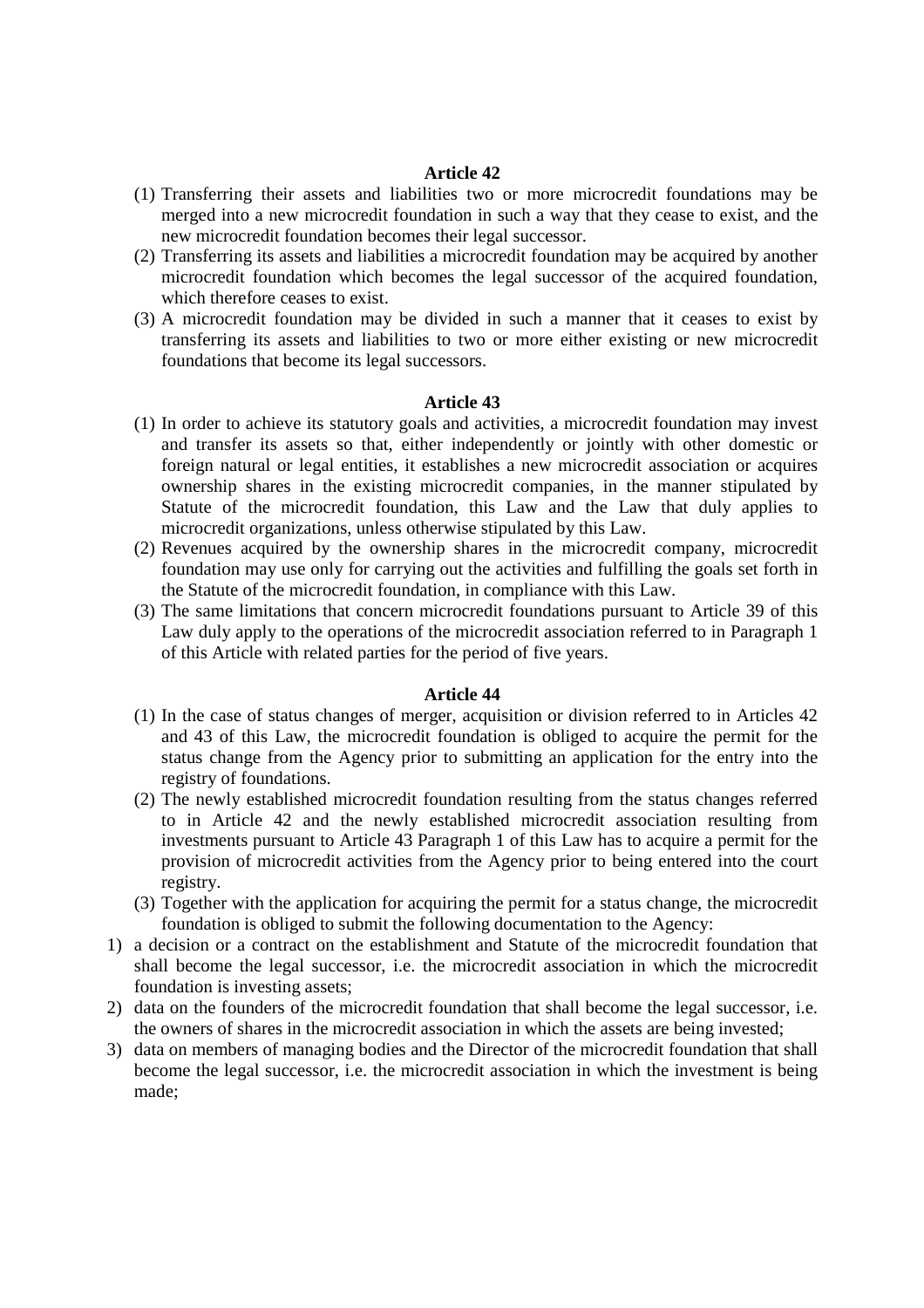- (1) Transferring their assets and liabilities two or more microcredit foundations may be merged into a new microcredit foundation in such a way that they cease to exist, and the new microcredit foundation becomes their legal successor.
- (2) Transferring its assets and liabilities a microcredit foundation may be acquired by another microcredit foundation which becomes the legal successor of the acquired foundation, which therefore ceases to exist.
- (3) A microcredit foundation may be divided in such a manner that it ceases to exist by transferring its assets and liabilities to two or more either existing or new microcredit foundations that become its legal successors.

### **Article 43**

- (1) In order to achieve its statutory goals and activities, a microcredit foundation may invest and transfer its assets so that, either independently or jointly with other domestic or foreign natural or legal entities, it establishes a new microcredit association or acquires ownership shares in the existing microcredit companies, in the manner stipulated by Statute of the microcredit foundation, this Law and the Law that duly applies to microcredit organizations, unless otherwise stipulated by this Law.
- (2) Revenues acquired by the ownership shares in the microcredit company, microcredit foundation may use only for carrying out the activities and fulfilling the goals set forth in the Statute of the microcredit foundation, in compliance with this Law.
- (3) The same limitations that concern microcredit foundations pursuant to Article 39 of this Law duly apply to the operations of the microcredit association referred to in Paragraph 1 of this Article with related parties for the period of five years.

- (1) In the case of status changes of merger, acquisition or division referred to in Articles 42 and 43 of this Law, the microcredit foundation is obliged to acquire the permit for the status change from the Agency prior to submitting an application for the entry into the registry of foundations.
- (2) The newly established microcredit foundation resulting from the status changes referred to in Article 42 and the newly established microcredit association resulting from investments pursuant to Article 43 Paragraph 1 of this Law has to acquire a permit for the provision of microcredit activities from the Agency prior to being entered into the court registry.
- (3) Together with the application for acquiring the permit for a status change, the microcredit foundation is obliged to submit the following documentation to the Agency:
- 1) a decision or a contract on the establishment and Statute of the microcredit foundation that shall become the legal successor, i.e. the microcredit association in which the microcredit foundation is investing assets;
- 2) data on the founders of the microcredit foundation that shall become the legal successor, i.e. the owners of shares in the microcredit association in which the assets are being invested;
- 3) data on members of managing bodies and the Director of the microcredit foundation that shall become the legal successor, i.e. the microcredit association in which the investment is being made;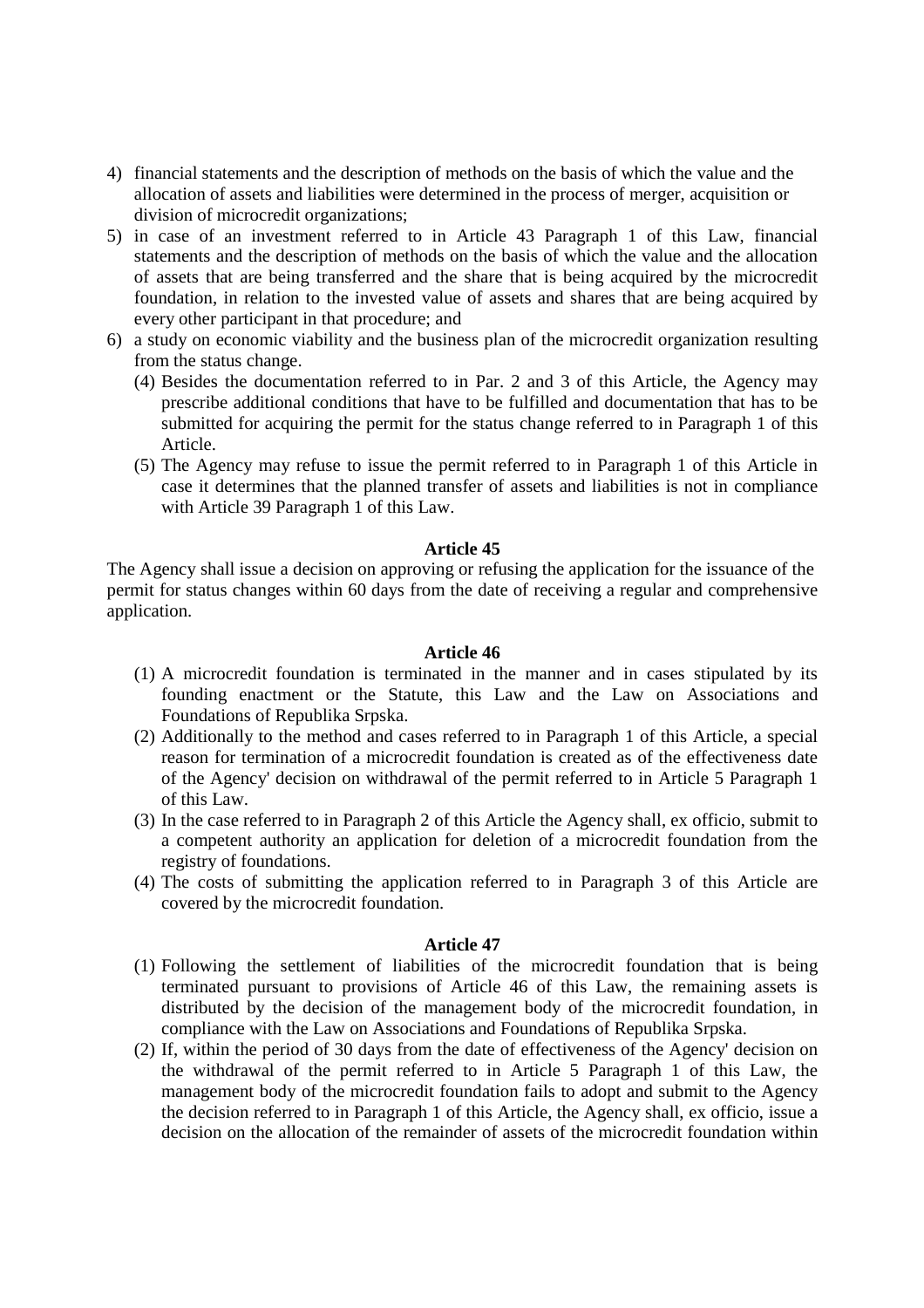- 4) financial statements and the description of methods on the basis of which the value and the allocation of assets and liabilities were determined in the process of merger, acquisition or division of microcredit organizations;
- 5) in case of an investment referred to in Article 43 Paragraph 1 of this Law, financial statements and the description of methods on the basis of which the value and the allocation of assets that are being transferred and the share that is being acquired by the microcredit foundation, in relation to the invested value of assets and shares that are being acquired by every other participant in that procedure; and
- 6) a study on economic viability and the business plan of the microcredit organization resulting from the status change.
	- (4) Besides the documentation referred to in Par. 2 and 3 of this Article, the Agency may prescribe additional conditions that have to be fulfilled and documentation that has to be submitted for acquiring the permit for the status change referred to in Paragraph 1 of this Article.
	- (5) The Agency may refuse to issue the permit referred to in Paragraph 1 of this Article in case it determines that the planned transfer of assets and liabilities is not in compliance with Article 39 Paragraph 1 of this Law.

The Agency shall issue a decision on approving or refusing the application for the issuance of the permit for status changes within 60 days from the date of receiving a regular and comprehensive application.

### **Article 46**

- (1) A microcredit foundation is terminated in the manner and in cases stipulated by its founding enactment or the Statute, this Law and the Law on Associations and Foundations of Republika Srpska.
- (2) Additionally to the method and cases referred to in Paragraph 1 of this Article, a special reason for termination of a microcredit foundation is created as of the effectiveness date of the Agency' decision on withdrawal of the permit referred to in Article 5 Paragraph 1 of this Law.
- (3) In the case referred to in Paragraph 2 of this Article the Agency shall, ex officio, submit to a competent authority an application for deletion of a microcredit foundation from the registry of foundations.
- (4) The costs of submitting the application referred to in Paragraph 3 of this Article are covered by the microcredit foundation.

- (1) Following the settlement of liabilities of the microcredit foundation that is being terminated pursuant to provisions of Article 46 of this Law, the remaining assets is distributed by the decision of the management body of the microcredit foundation, in compliance with the Law on Associations and Foundations of Republika Srpska.
- (2) If, within the period of 30 days from the date of effectiveness of the Agency' decision on the withdrawal of the permit referred to in Article 5 Paragraph 1 of this Law, the management body of the microcredit foundation fails to adopt and submit to the Agency the decision referred to in Paragraph 1 of this Article, the Agency shall, ex officio, issue a decision on the allocation of the remainder of assets of the microcredit foundation within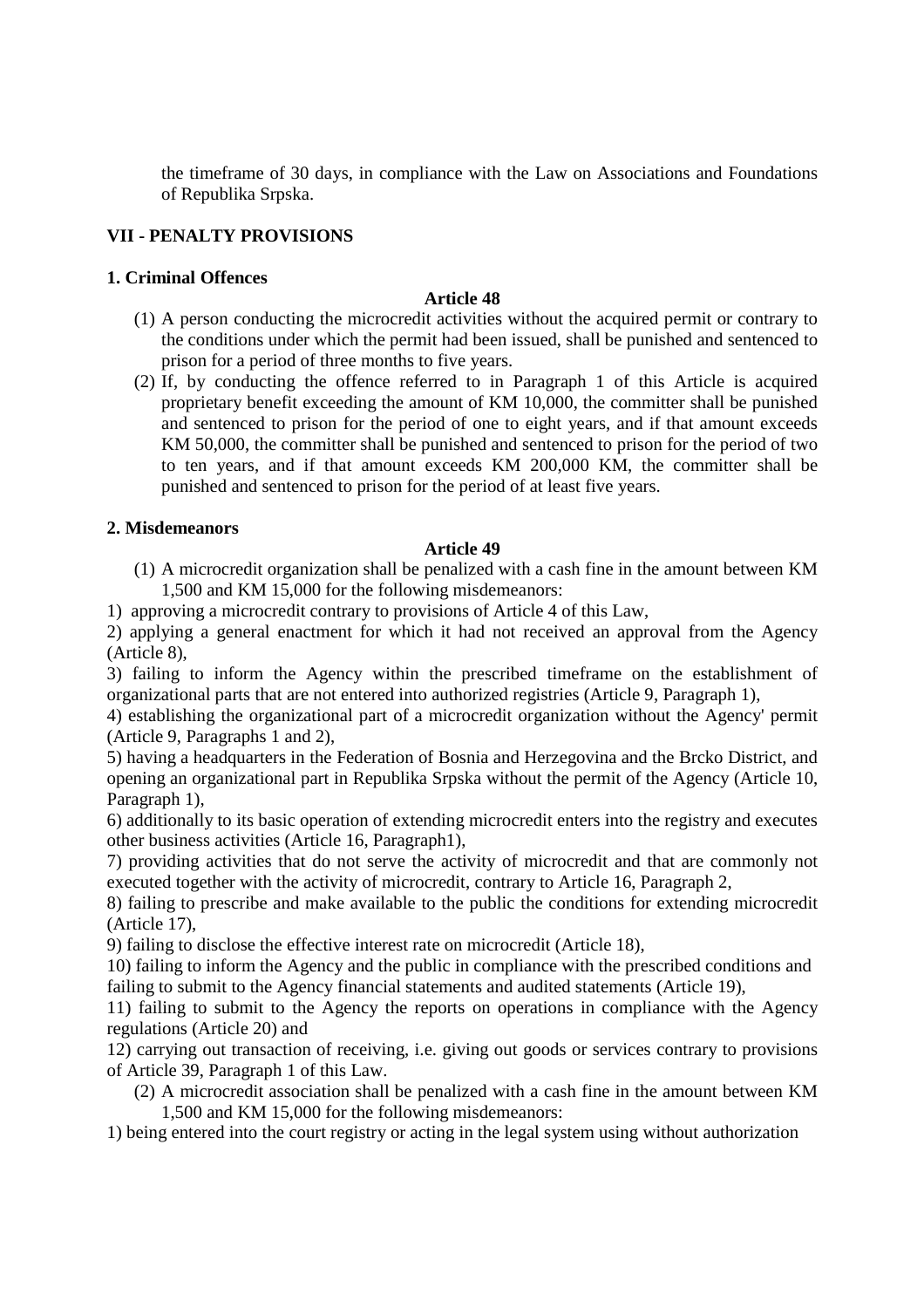the timeframe of 30 days, in compliance with the Law on Associations and Foundations of Republika Srpska.

# **VII - PENALTY PROVISIONS**

## **1. Criminal Offences**

## **Article 48**

- (1) A person conducting the microcredit activities without the acquired permit or contrary to the conditions under which the permit had been issued, shall be punished and sentenced to prison for a period of three months to five years.
- (2) If, by conducting the offence referred to in Paragraph 1 of this Article is acquired proprietary benefit exceeding the amount of KM 10,000, the committer shall be punished and sentenced to prison for the period of one to eight years, and if that amount exceeds KM 50,000, the committer shall be punished and sentenced to prison for the period of two to ten years, and if that amount exceeds KM 200,000 KM, the committer shall be punished and sentenced to prison for the period of at least five years.

## **2. Misdemeanors**

## **Article 49**

- (1) A microcredit organization shall be penalized with a cash fine in the amount between KM 1,500 and KM 15,000 for the following misdemeanors:
- 1) approving a microcredit contrary to provisions of Article 4 of this Law,

2) applying a general enactment for which it had not received an approval from the Agency (Article 8),

3) failing to inform the Agency within the prescribed timeframe on the establishment of organizational parts that are not entered into authorized registries (Article 9, Paragraph 1),

4) establishing the organizational part of a microcredit organization without the Agency' permit (Article 9, Paragraphs 1 and 2),

5) having a headquarters in the Federation of Bosnia and Herzegovina and the Brcko District, and opening an organizational part in Republika Srpska without the permit of the Agency (Article 10, Paragraph 1),

6) additionally to its basic operation of extending microcredit enters into the registry and executes other business activities (Article 16, Paragraph1),

7) providing activities that do not serve the activity of microcredit and that are commonly not executed together with the activity of microcredit, contrary to Article 16, Paragraph 2,

8) failing to prescribe and make available to the public the conditions for extending microcredit (Article 17),

9) failing to disclose the effective interest rate on microcredit (Article 18),

10) failing to inform the Agency and the public in compliance with the prescribed conditions and failing to submit to the Agency financial statements and audited statements (Article 19),

11) failing to submit to the Agency the reports on operations in compliance with the Agency regulations (Article 20) and

12) carrying out transaction of receiving, i.e. giving out goods or services contrary to provisions of Article 39, Paragraph 1 of this Law.

(2) A microcredit association shall be penalized with a cash fine in the amount between KM 1,500 and KM 15,000 for the following misdemeanors:

1) being entered into the court registry or acting in the legal system using without authorization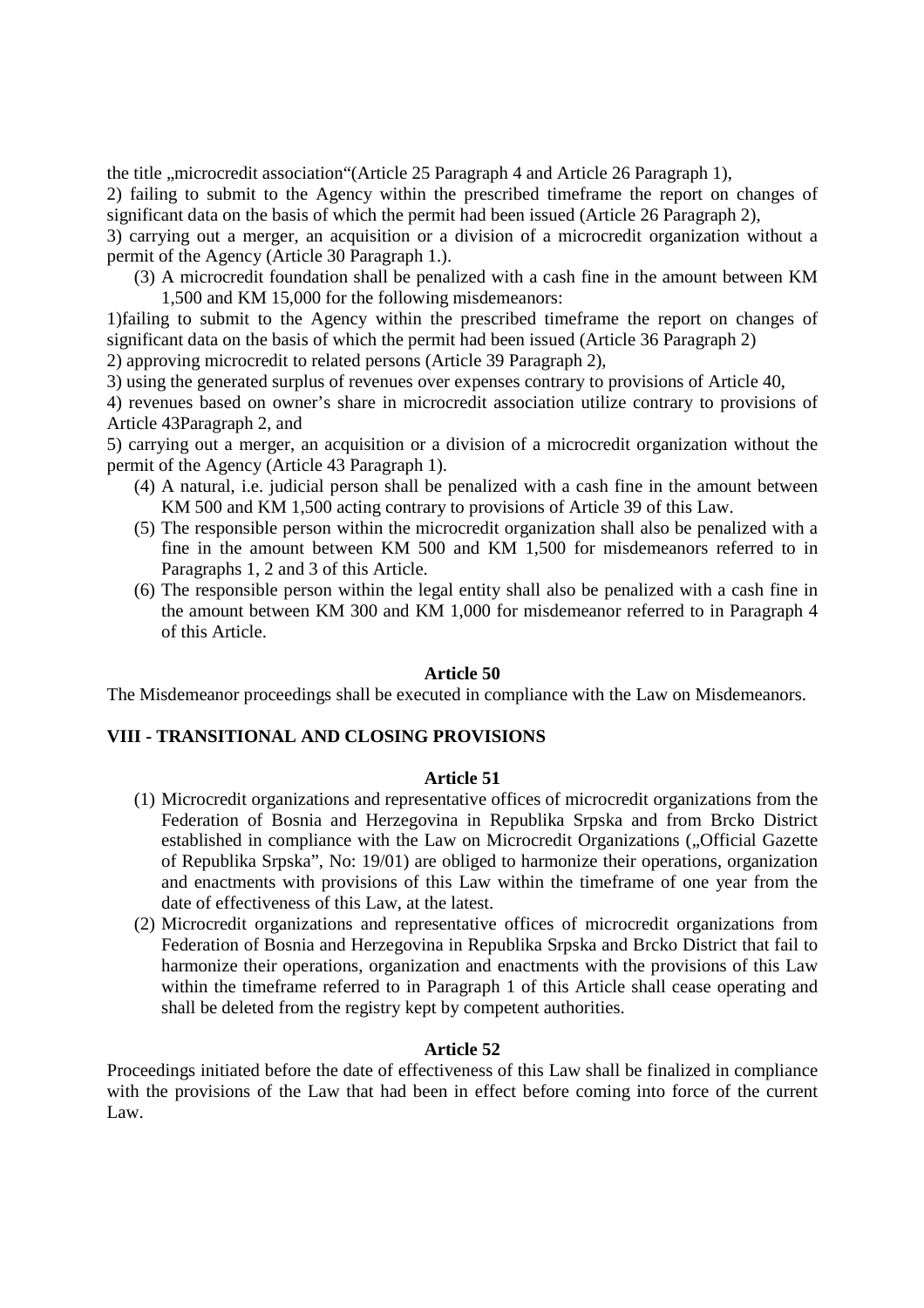the title ,,microcredit association "(Article 25 Paragraph 4 and Article 26 Paragraph 1),

2) failing to submit to the Agency within the prescribed timeframe the report on changes of significant data on the basis of which the permit had been issued (Article 26 Paragraph 2),

3) carrying out a merger, an acquisition or a division of a microcredit organization without a permit of the Agency (Article 30 Paragraph 1.).

(3) A microcredit foundation shall be penalized with a cash fine in the amount between KM 1,500 and KM 15,000 for the following misdemeanors:

1)failing to submit to the Agency within the prescribed timeframe the report on changes of significant data on the basis of which the permit had been issued (Article 36 Paragraph 2)

2) approving microcredit to related persons (Article 39 Paragraph 2),

3) using the generated surplus of revenues over expenses contrary to provisions of Article 40,

4) revenues based on owner's share in microcredit association utilize contrary to provisions of Article 43Paragraph 2, and

5) carrying out a merger, an acquisition or a division of a microcredit organization without the permit of the Agency (Article 43 Paragraph 1).

- (4) A natural, i.e. judicial person shall be penalized with a cash fine in the amount between KM 500 and KM 1,500 acting contrary to provisions of Article 39 of this Law.
- (5) The responsible person within the microcredit organization shall also be penalized with a fine in the amount between KM 500 and KM 1,500 for misdemeanors referred to in Paragraphs 1, 2 and 3 of this Article.
- (6) The responsible person within the legal entity shall also be penalized with a cash fine in the amount between KM 300 and KM 1,000 for misdemeanor referred to in Paragraph 4 of this Article.

## **Article 50**

The Misdemeanor proceedings shall be executed in compliance with the Law on Misdemeanors.

## **VIII - TRANSITIONAL AND CLOSING PROVISIONS**

## **Article 51**

- (1) Microcredit organizations and representative offices of microcredit organizations from the Federation of Bosnia and Herzegovina in Republika Srpska and from Brcko District established in compliance with the Law on Microcredit Organizations ("Official Gazette of Republika Srpska", No: 19/01) are obliged to harmonize their operations, organization and enactments with provisions of this Law within the timeframe of one year from the date of effectiveness of this Law, at the latest.
- (2) Microcredit organizations and representative offices of microcredit organizations from Federation of Bosnia and Herzegovina in Republika Srpska and Brcko District that fail to harmonize their operations, organization and enactments with the provisions of this Law within the timeframe referred to in Paragraph 1 of this Article shall cease operating and shall be deleted from the registry kept by competent authorities.

# **Article 52**

Proceedings initiated before the date of effectiveness of this Law shall be finalized in compliance with the provisions of the Law that had been in effect before coming into force of the current Law.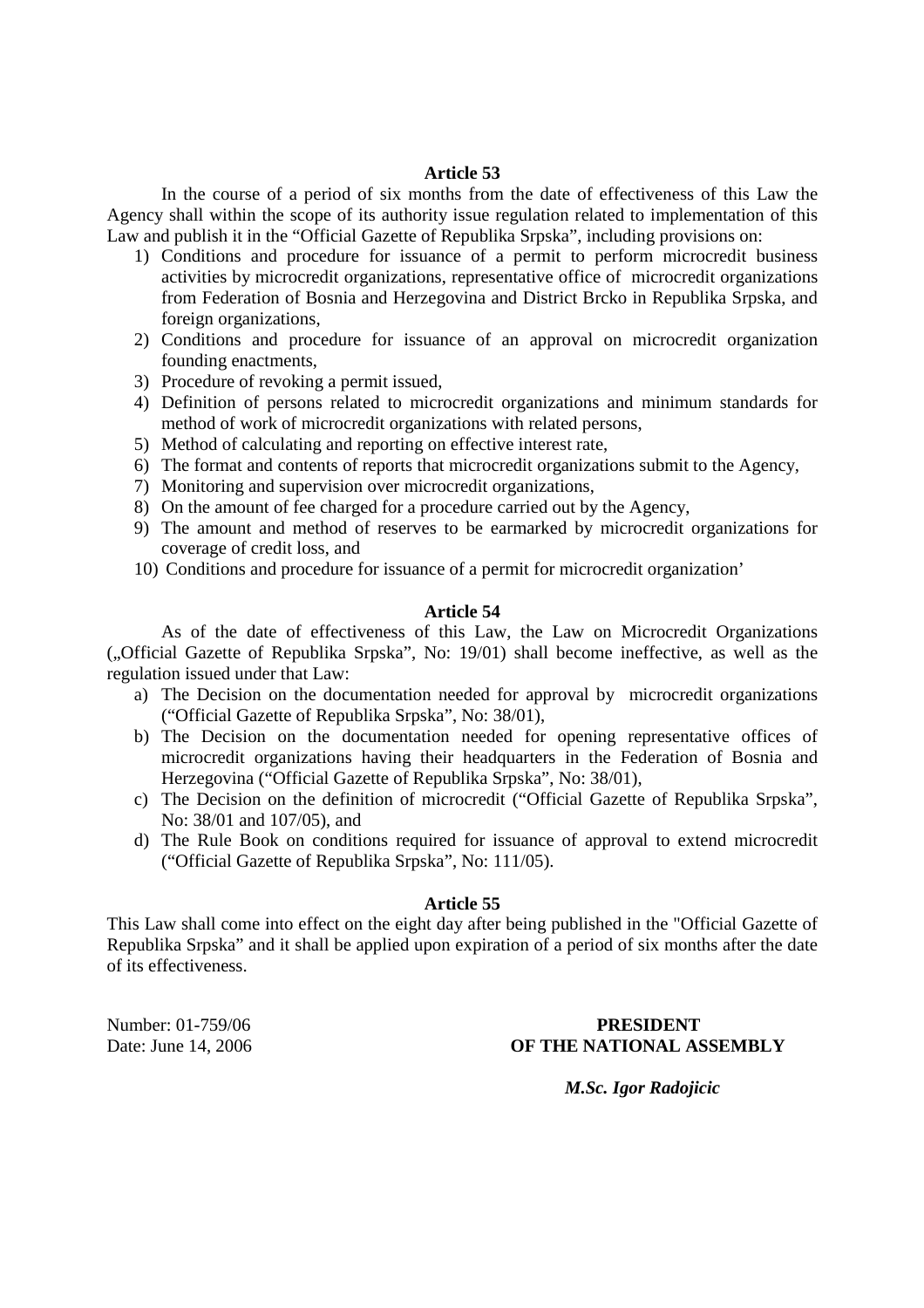In the course of a period of six months from the date of effectiveness of this Law the Agency shall within the scope of its authority issue regulation related to implementation of this Law and publish it in the "Official Gazette of Republika Srpska", including provisions on:

- 1) Conditions and procedure for issuance of a permit to perform microcredit business activities by microcredit organizations, representative office of microcredit organizations from Federation of Bosnia and Herzegovina and District Brcko in Republika Srpska, and foreign organizations,
- 2) Conditions and procedure for issuance of an approval on microcredit organization founding enactments,
- 3) Procedure of revoking a permit issued,
- 4) Definition of persons related to microcredit organizations and minimum standards for method of work of microcredit organizations with related persons,
- 5) Method of calculating and reporting on effective interest rate,
- 6) The format and contents of reports that microcredit organizations submit to the Agency,
- 7) Monitoring and supervision over microcredit organizations,
- 8) On the amount of fee charged for a procedure carried out by the Agency,
- 9) The amount and method of reserves to be earmarked by microcredit organizations for coverage of credit loss, and
- 10) Conditions and procedure for issuance of a permit for microcredit organization'

## **Article 54**

As of the date of effectiveness of this Law, the Law on Microcredit Organizations ("Official Gazette of Republika Srpska", No: 19/01) shall become ineffective, as well as the regulation issued under that Law:

- a) The Decision on the documentation needed for approval by microcredit organizations ("Official Gazette of Republika Srpska", No: 38/01),
- b) The Decision on the documentation needed for opening representative offices of microcredit organizations having their headquarters in the Federation of Bosnia and Herzegovina ("Official Gazette of Republika Srpska", No: 38/01),
- c) The Decision on the definition of microcredit ("Official Gazette of Republika Srpska", No: 38/01 and 107/05), and
- d) The Rule Book on conditions required for issuance of approval to extend microcredit ("Official Gazette of Republika Srpska", No: 111/05).

### **Article 55**

This Law shall come into effect on the eight day after being published in the "Official Gazette of Republika Srpska" and it shall be applied upon expiration of a period of six months after the date of its effectiveness.

## Number: 01-759/06 **PRESIDENT**  Date: June 14, 2006 **OF THE NATIONAL ASSEMBLY**

*M.Sc. Igor Radojicic*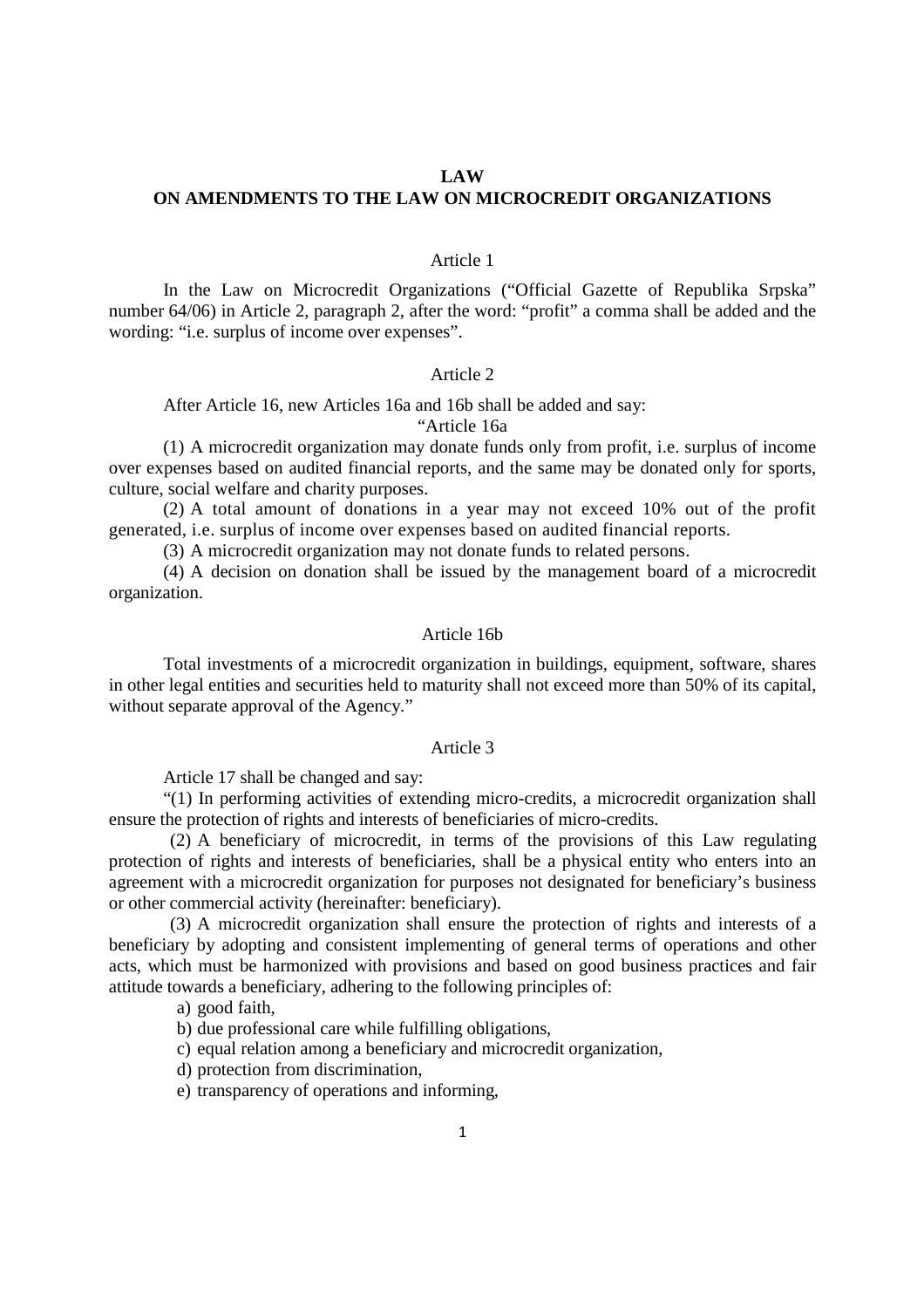### **LAW**

## **ON AMENDMENTS TO THE LAW ON MICROCREDIT ORGANIZATIONS**

### Article 1

In the Law on Microcredit Organizations ("Official Gazette of Republika Srpska" number 64/06) in Article 2, paragraph 2, after the word: "profit" a comma shall be added and the wording: "i.e. surplus of income over expenses".

### Article 2

After Article 16, new Articles 16a and 16b shall be added and say:

"Article 16a

(1) A microcredit organization may donate funds only from profit, i.e. surplus of income over expenses based on audited financial reports, and the same may be donated only for sports, culture, social welfare and charity purposes.

(2) A total amount of donations in a year may not exceed 10% out of the profit generated, i.e. surplus of income over expenses based on audited financial reports.

(3) A microcredit organization may not donate funds to related persons.

(4) A decision on donation shall be issued by the management board of a microcredit organization.

### Article 16b

Total investments of a microcredit organization in buildings, equipment, software, shares in other legal entities and securities held to maturity shall not exceed more than 50% of its capital, without separate approval of the Agency."

### Article 3

Article 17 shall be changed and say:

"(1) In performing activities of extending micro-credits, a microcredit organization shall ensure the protection of rights and interests of beneficiaries of micro-credits.

(2) A beneficiary of microcredit, in terms of the provisions of this Law regulating protection of rights and interests of beneficiaries, shall be a physical entity who enters into an agreement with a microcredit organization for purposes not designated for beneficiary's business or other commercial activity (hereinafter: beneficiary).

(3) A microcredit organization shall ensure the protection of rights and interests of a beneficiary by adopting and consistent implementing of general terms of operations and other acts, which must be harmonized with provisions and based on good business practices and fair attitude towards a beneficiary, adhering to the following principles of:

a) good faith,

- b) due professional care while fulfilling obligations,
- c) equal relation among a beneficiary and microcredit organization,
- d) protection from discrimination,
- e) transparency of operations and informing,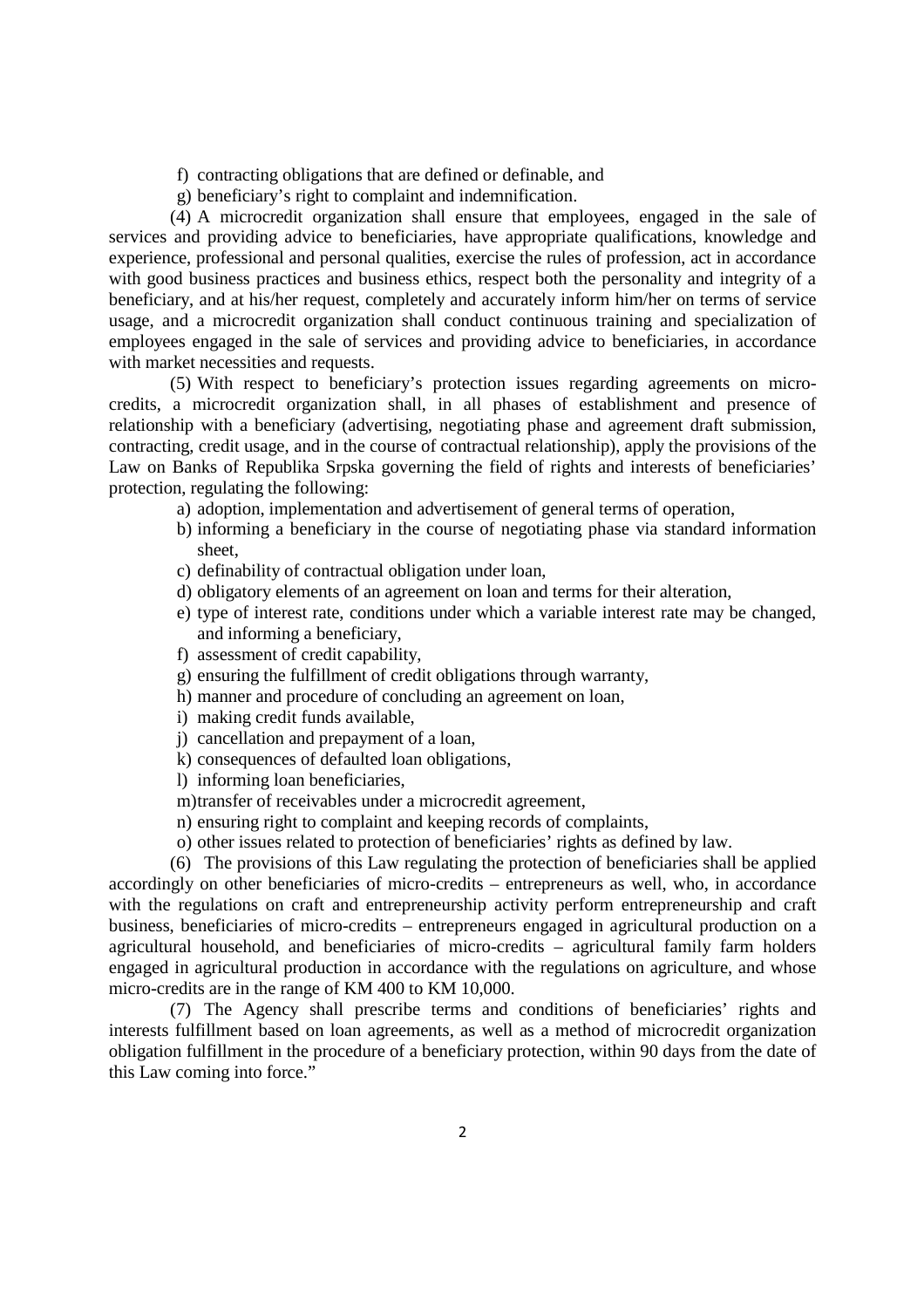- f) contracting obligations that are defined or definable, and
- g) beneficiary's right to complaint and indemnification.

(4) A microcredit organization shall ensure that employees, engaged in the sale of services and providing advice to beneficiaries, have appropriate qualifications, knowledge and experience, professional and personal qualities, exercise the rules of profession, act in accordance with good business practices and business ethics, respect both the personality and integrity of a beneficiary, and at his/her request, completely and accurately inform him/her on terms of service usage, and a microcredit organization shall conduct continuous training and specialization of employees engaged in the sale of services and providing advice to beneficiaries, in accordance with market necessities and requests.

(5) With respect to beneficiary's protection issues regarding agreements on microcredits, a microcredit organization shall, in all phases of establishment and presence of relationship with a beneficiary (advertising, negotiating phase and agreement draft submission, contracting, credit usage, and in the course of contractual relationship), apply the provisions of the Law on Banks of Republika Srpska governing the field of rights and interests of beneficiaries' protection, regulating the following:

- a) adoption, implementation and advertisement of general terms of operation,
- b) informing a beneficiary in the course of negotiating phase via standard information sheet,
- c) definability of contractual obligation under loan,
- d) obligatory elements of an agreement on loan and terms for their alteration,
- e) type of interest rate, conditions under which a variable interest rate may be changed, and informing a beneficiary,
- f) assessment of credit capability,
- g) ensuring the fulfillment of credit obligations through warranty,
- h) manner and procedure of concluding an agreement on loan,
- i) making credit funds available,
- j) cancellation and prepayment of a loan,
- k) consequences of defaulted loan obligations,
- l) informing loan beneficiaries,
- m)transfer of receivables under a microcredit agreement,
- n) ensuring right to complaint and keeping records of complaints,
- o) other issues related to protection of beneficiaries' rights as defined by law.

(6) The provisions of this Law regulating the protection of beneficiaries shall be applied accordingly on other beneficiaries of micro-credits – entrepreneurs as well, who, in accordance with the regulations on craft and entrepreneurship activity perform entrepreneurship and craft business, beneficiaries of micro-credits – entrepreneurs engaged in agricultural production on a agricultural household, and beneficiaries of micro-credits – agricultural family farm holders engaged in agricultural production in accordance with the regulations on agriculture, and whose micro-credits are in the range of KM 400 to KM 10,000.

(7) The Agency shall prescribe terms and conditions of beneficiaries' rights and interests fulfillment based on loan agreements, as well as a method of microcredit organization obligation fulfillment in the procedure of a beneficiary protection, within 90 days from the date of this Law coming into force."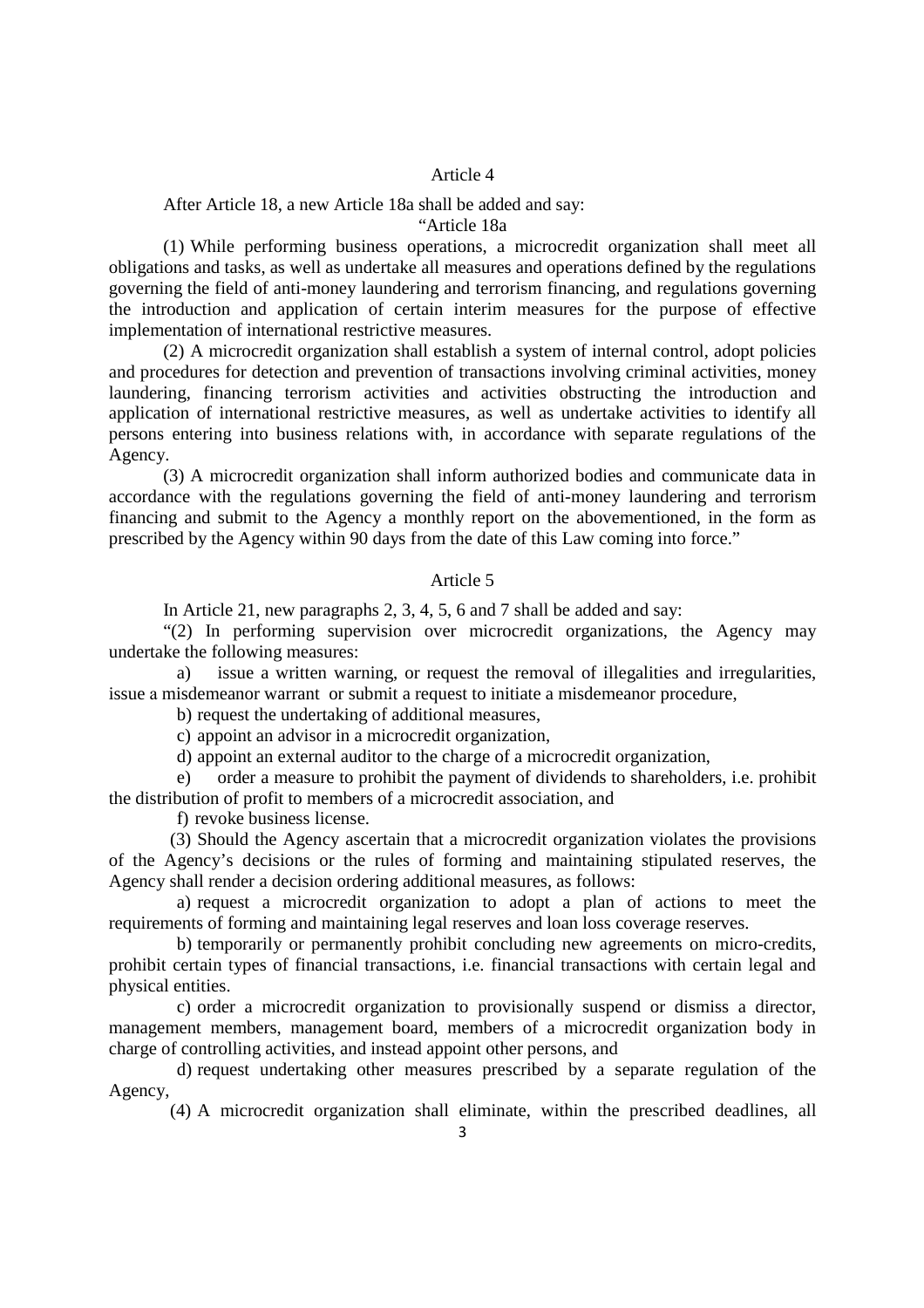#### After Article 18, a new Article 18a shall be added and say:

"Article 18a

(1) While performing business operations, a microcredit organization shall meet all obligations and tasks, as well as undertake all measures and operations defined by the regulations governing the field of anti-money laundering and terrorism financing, and regulations governing the introduction and application of certain interim measures for the purpose of effective implementation of international restrictive measures.

(2) A microcredit organization shall establish a system of internal control, adopt policies and procedures for detection and prevention of transactions involving criminal activities, money laundering, financing terrorism activities and activities obstructing the introduction and application of international restrictive measures, as well as undertake activities to identify all persons entering into business relations with, in accordance with separate regulations of the Agency.

(3) A microcredit organization shall inform authorized bodies and communicate data in accordance with the regulations governing the field of anti-money laundering and terrorism financing and submit to the Agency a monthly report on the abovementioned, in the form as prescribed by the Agency within 90 days from the date of this Law coming into force."

#### Article 5

In Article 21, new paragraphs 2, 3, 4, 5, 6 and 7 shall be added and say:

"(2) In performing supervision over microcredit organizations, the Agency may undertake the following measures:

a) issue a written warning, or request the removal of illegalities and irregularities, issue а misdemeanor warrant or submit a request to initiate a misdemeanor procedure,

b) request the undertaking of additional measures,

c) appoint an advisor in a microcredit organization,

d) appoint an external auditor to the charge of a microcredit organization,

e) order a measure to prohibit the payment of dividends to shareholders, i.e. prohibit the distribution of profit to members of a microcredit association, and

f) revoke business license.

(3) Should the Agency ascertain that a microcredit organization violates the provisions of the Agency's decisions or the rules of forming and maintaining stipulated reserves, the Agency shall render a decision ordering additional measures, as follows:

a) request a microcredit organization to adopt a plan of actions to meet the requirements of forming and maintaining legal reserves and loan loss coverage reserves.

b) temporarily or permanently prohibit concluding new agreements on micro-credits, prohibit certain types of financial transactions, i.e. financial transactions with certain legal and physical entities.

c) order a microcredit organization to provisionally suspend or dismiss a director, management members, management board, members of a microcredit organization body in charge of controlling activities, and instead appoint other persons, and

d) request undertaking other measures prescribed by a separate regulation of the Agency,

(4) A microcredit organization shall eliminate, within the prescribed deadlines, all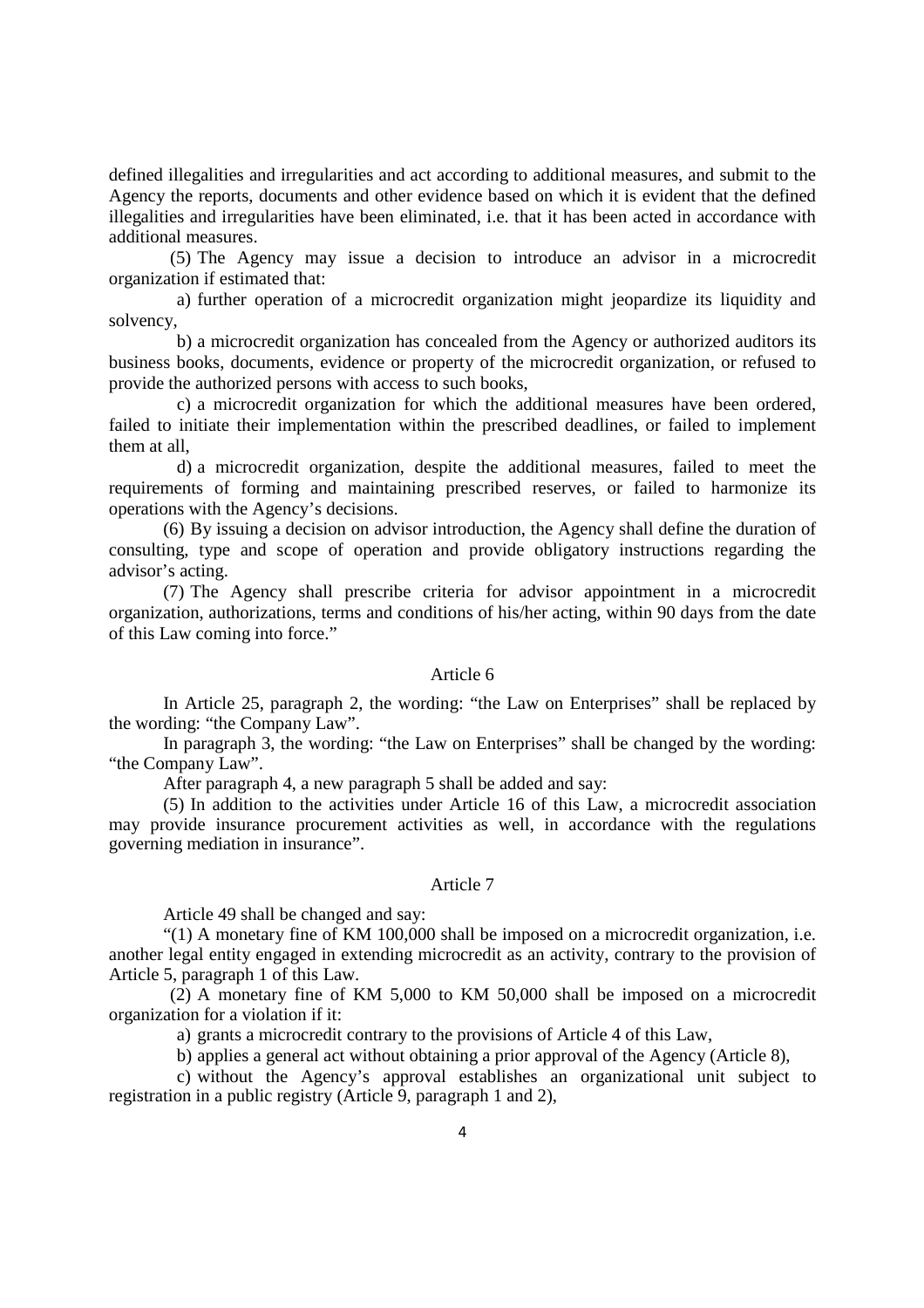defined illegalities and irregularities and act according to additional measures, and submit to the Agency the reports, documents and other evidence based on which it is evident that the defined illegalities and irregularities have been eliminated, i.e. that it has been acted in accordance with additional measures.

(5) The Agency may issue a decision to introduce an advisor in a microcredit organization if estimated that:

a) further operation of a microcredit organization might jeopardize its liquidity and solvency,

b) a microcredit organization has concealed from the Agency or authorized auditors its business books, documents, evidence or property of the microcredit organization, or refused to provide the authorized persons with access to such books,

c) a microcredit organization for which the additional measures have been ordered, failed to initiate their implementation within the prescribed deadlines, or failed to implement them at all,

d) a microcredit organization, despite the additional measures, failed to meet the requirements of forming and maintaining prescribed reserves, or failed to harmonize its operations with the Agency's decisions.

(6) By issuing a decision on advisor introduction, the Agency shall define the duration of consulting, type and scope of operation and provide obligatory instructions regarding the advisor's acting.

(7) The Agency shall prescribe criteria for advisor appointment in a microcredit organization, authorizations, terms and conditions of his/her acting, within 90 days from the date of this Law coming into force."

## Article 6

In Article 25, paragraph 2, the wording: "the Law on Enterprises" shall be replaced by the wording: "the Company Law".

In paragraph 3, the wording: "the Law on Enterprises" shall be changed by the wording: "the Company Law".

After paragraph 4, a new paragraph 5 shall be added and say:

(5) In addition to the activities under Article 16 of this Law, a microcredit association may provide insurance procurement activities as well, in accordance with the regulations governing mediation in insurance".

#### Article 7

Article 49 shall be changed and say:

 "(1) A monetary fine of KM 100,000 shall be imposed on a microcredit organization, i.e. another legal entity engaged in extending microcredit as an activity, contrary to the provision of Article 5, paragraph 1 of this Law.

(2) A monetary fine of KM 5,000 to KM 50,000 shall be imposed on a microcredit organization for a violation if it:

a) grants a microcredit contrary to the provisions of Article 4 of this Law,

b) applies a general act without obtaining a prior approval of the Agency (Article 8),

c) without the Agency's approval establishes an organizational unit subject to registration in a public registry (Article 9, paragraph 1 and 2),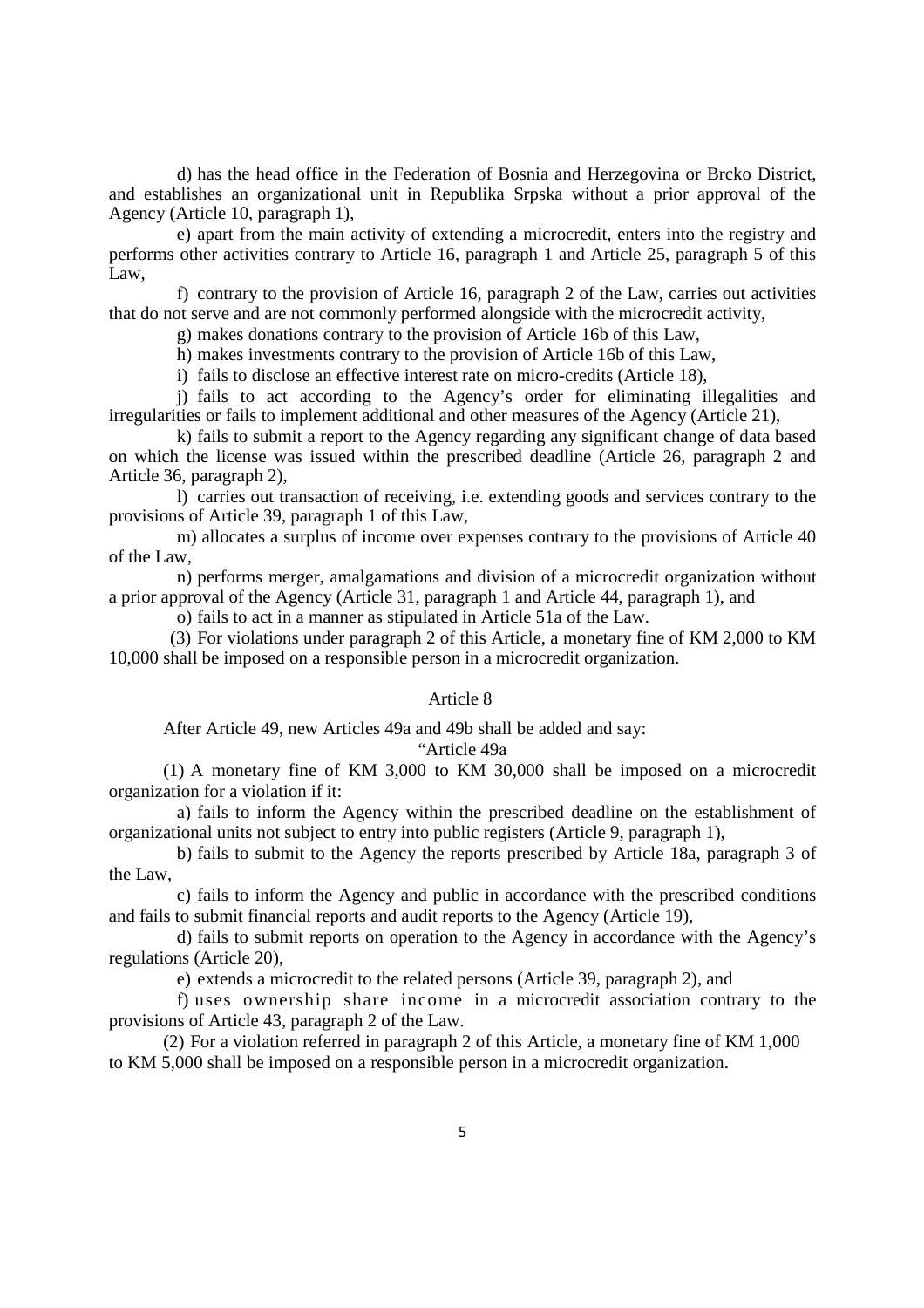d) has the head office in the Federation of Bosnia and Herzegovina or Brcko District, and establishes an organizational unit in Republika Srpska without a prior approval of the Agency (Article 10, paragraph 1),

e) apart from the main activity of extending a microcredit, enters into the registry and performs other activities contrary to Article 16, paragraph 1 and Article 25, paragraph 5 of this Law,

f) contrary to the provision of Article 16, paragraph 2 of the Law, carries out activities that do not serve and are not commonly performed alongside with the microcredit activity,

g) makes donations contrary to the provision of Article 16b of this Law,

h) makes investments contrary to the provision of Article 16b of this Law,

i) fails to disclose an effective interest rate on micro-credits (Article 18),

j) fails to act according to the Agency's order for eliminating illegalities and irregularities or fails to implement additional and other measures of the Agency (Article 21),

k) fails to submit a report to the Agency regarding any significant change of data based on which the license was issued within the prescribed deadline (Article 26, paragraph 2 and Article 36, paragraph 2),

l) carries out transaction of receiving, i.e. extending goods and services contrary to the provisions of Article 39, paragraph 1 of this Law,

m) allocates a surplus of income over expenses contrary to the provisions of Article 40 of the Law,

n) performs merger, amalgamations and division of a microcredit organization without a prior approval of the Agency (Article 31, paragraph 1 and Article 44, paragraph 1), and

o) fails to act in a manner as stipulated in Article 51a of the Law.

(3) For violations under paragraph 2 of this Article, a monetary fine of KM 2,000 to KM 10,000 shall be imposed on a responsible person in a microcredit organization.

## Article 8

After Article 49, new Articles 49a and 49b shall be added and say:

### "Article 49а

(1) A monetary fine of KM 3,000 to KM 30,000 shall be imposed on a microcredit organization for a violation if it:

a) fails to inform the Agency within the prescribed deadline on the establishment of organizational units not subject to entry into public registers (Article 9, paragraph 1),

b) fails to submit to the Agency the reports prescribed by Article 18a, paragraph 3 of the Law,

c) fails to inform the Agency and public in accordance with the prescribed conditions and fails to submit financial reports and audit reports to the Agency (Article 19),

d) fails to submit reports on operation to the Agency in accordance with the Agency's regulations (Article 20),

e) extends a microcredit to the related persons (Article 39, paragraph 2), and

f) uses ownership share income in a microcredit association contrary to the provisions of Article 43, paragraph 2 of the Law.

(2) For a violation referred in paragraph 2 of this Article, a monetary fine of KM 1,000 to KM 5,000 shall be imposed on a responsible person in a microcredit organization.